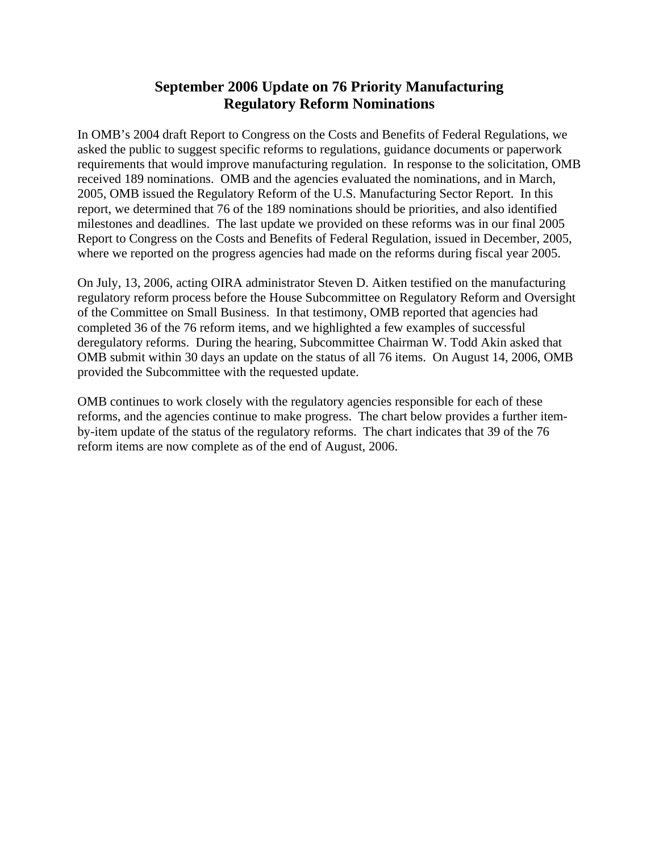### **September 2006 Update on 76 Priority Manufacturing Regulatory Reform Nominations**

In OMB's 2004 draft Report to Congress on the Costs and Benefits of Federal Regulations, we asked the public to suggest specific reforms to regulations, guidance documents or paperwork requirements that would improve manufacturing regulation. In response to the solicitation, OMB received 189 nominations. OMB and the agencies evaluated the nominations, and in March, 2005, OMB issued the Regulatory Reform of the U.S. Manufacturing Sector Report. In this report, we determined that 76 of the 189 nominations should be priorities, and also identified milestones and deadlines. The last update we provided on these reforms was in our final 2005 Report to Congress on the Costs and Benefits of Federal Regulation, issued in December, 2005, where we reported on the progress agencies had made on the reforms during fiscal year 2005.

On July, 13, 2006, acting OIRA administrator Steven D. Aitken testified on the manufacturing regulatory reform process before the House Subcommittee on Regulatory Reform and Oversight of the Committee on Small Business. In that testimony, OMB reported that agencies had completed 36 of the 76 reform items, and we highlighted a few examples of successful deregulatory reforms. During the hearing, Subcommittee Chairman W. Todd Akin asked that OMB submit within 30 days an update on the status of all 76 items. On August 14, 2006, OMB provided the Subcommittee with the requested update.

OMB continues to work closely with the regulatory agencies responsible for each of these reforms, and the agencies continue to make progress. The chart below provides a further itemby-item update of the status of the regulatory reforms. The chart indicates that 39 of the 76 reform items are now complete as of the end of August, 2006.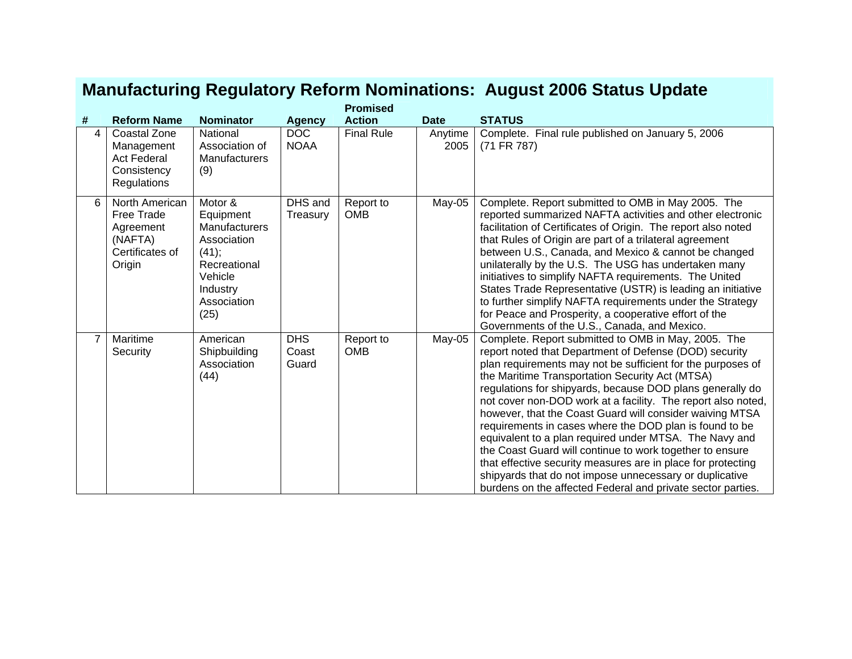|                |                                                                                          |                                                                                                                             |                              | <b>Promised</b>         |                 |                                                                                                                                                                                                                                                                                                                                                                                                                                                                                                                                                                                                                                                                                                                                                                                                     |
|----------------|------------------------------------------------------------------------------------------|-----------------------------------------------------------------------------------------------------------------------------|------------------------------|-------------------------|-----------------|-----------------------------------------------------------------------------------------------------------------------------------------------------------------------------------------------------------------------------------------------------------------------------------------------------------------------------------------------------------------------------------------------------------------------------------------------------------------------------------------------------------------------------------------------------------------------------------------------------------------------------------------------------------------------------------------------------------------------------------------------------------------------------------------------------|
| #              | <b>Reform Name</b>                                                                       | <b>Nominator</b>                                                                                                            | <b>Agency</b>                | <b>Action</b>           | Date            | <b>STATUS</b>                                                                                                                                                                                                                                                                                                                                                                                                                                                                                                                                                                                                                                                                                                                                                                                       |
| 4              | Coastal Zone<br>Management<br><b>Act Federal</b><br>Consistency<br>Regulations           | National<br>Association of<br><b>Manufacturers</b><br>(9)                                                                   | DOC<br><b>NOAA</b>           | <b>Final Rule</b>       | Anytime<br>2005 | Complete. Final rule published on January 5, 2006<br>(71 FR 787)                                                                                                                                                                                                                                                                                                                                                                                                                                                                                                                                                                                                                                                                                                                                    |
| 6              | North American<br><b>Free Trade</b><br>Agreement<br>(NAFTA)<br>Certificates of<br>Origin | Motor &<br>Equipment<br>Manufacturers<br>Association<br>(41);<br>Recreational<br>Vehicle<br>Industry<br>Association<br>(25) | DHS and<br>Treasury          | Report to<br><b>OMB</b> | $May-05$        | Complete. Report submitted to OMB in May 2005. The<br>reported summarized NAFTA activities and other electronic<br>facilitation of Certificates of Origin. The report also noted<br>that Rules of Origin are part of a trilateral agreement<br>between U.S., Canada, and Mexico & cannot be changed<br>unilaterally by the U.S. The USG has undertaken many<br>initiatives to simplify NAFTA requirements. The United<br>States Trade Representative (USTR) is leading an initiative<br>to further simplify NAFTA requirements under the Strategy<br>for Peace and Prosperity, a cooperative effort of the<br>Governments of the U.S., Canada, and Mexico.                                                                                                                                          |
| $\overline{7}$ | Maritime<br>Security                                                                     | American<br>Shipbuilding<br>Association<br>(44)                                                                             | <b>DHS</b><br>Coast<br>Guard | Report to<br><b>OMB</b> | $May-05$        | Complete. Report submitted to OMB in May, 2005. The<br>report noted that Department of Defense (DOD) security<br>plan requirements may not be sufficient for the purposes of<br>the Maritime Transportation Security Act (MTSA)<br>regulations for shipyards, because DOD plans generally do<br>not cover non-DOD work at a facility. The report also noted,<br>however, that the Coast Guard will consider waiving MTSA<br>requirements in cases where the DOD plan is found to be<br>equivalent to a plan required under MTSA. The Navy and<br>the Coast Guard will continue to work together to ensure<br>that effective security measures are in place for protecting<br>shipyards that do not impose unnecessary or duplicative<br>burdens on the affected Federal and private sector parties. |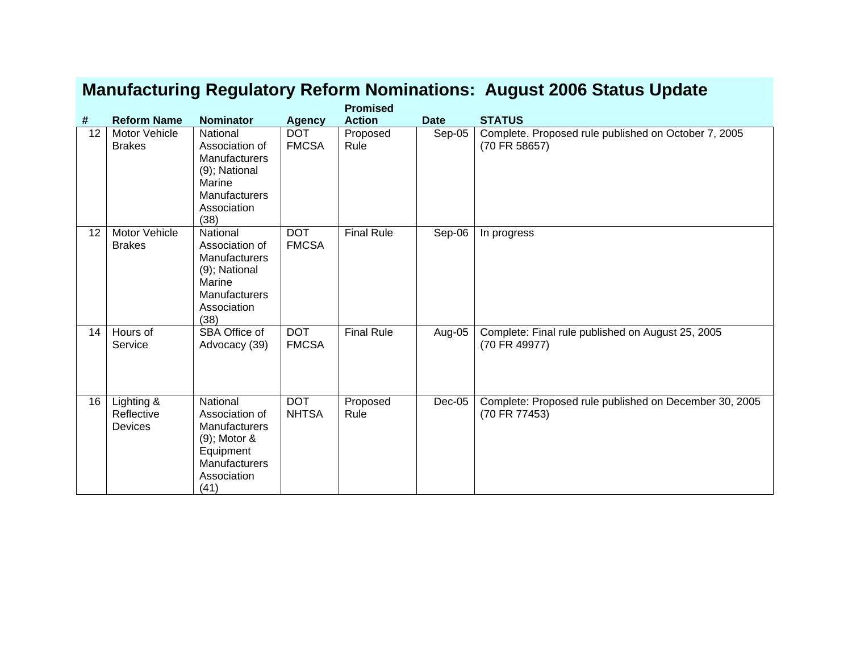|    |                                     |                                                                                                                                |                            | <b>Promised</b>   |             |                                                                         |
|----|-------------------------------------|--------------------------------------------------------------------------------------------------------------------------------|----------------------------|-------------------|-------------|-------------------------------------------------------------------------|
| #  | <b>Reform Name</b>                  | <b>Nominator</b>                                                                                                               | <b>Agency</b>              | <b>Action</b>     | <b>Date</b> | <b>STATUS</b>                                                           |
| 12 | Motor Vehicle<br><b>Brakes</b>      | National<br>Association of<br><b>Manufacturers</b><br>(9); National<br>Marine<br><b>Manufacturers</b><br>Association<br>(38)   | <b>DOT</b><br><b>FMCSA</b> | Proposed<br>Rule  | $Sep-05$    | Complete. Proposed rule published on October 7, 2005<br>(70 FR 58657)   |
| 12 | Motor Vehicle<br><b>Brakes</b>      | National<br>Association of<br><b>Manufacturers</b><br>(9); National<br>Marine<br><b>Manufacturers</b><br>Association<br>(38)   | <b>DOT</b><br><b>FMCSA</b> | <b>Final Rule</b> | Sep-06      | In progress                                                             |
| 14 | Hours of<br>Service                 | SBA Office of<br>Advocacy (39)                                                                                                 | <b>DOT</b><br><b>FMCSA</b> | <b>Final Rule</b> | Aug-05      | Complete: Final rule published on August 25, 2005<br>(70 FR 49977)      |
| 16 | Lighting &<br>Reflective<br>Devices | National<br>Association of<br><b>Manufacturers</b><br>(9); Motor &<br>Equipment<br><b>Manufacturers</b><br>Association<br>(41) | <b>DOT</b><br><b>NHTSA</b> | Proposed<br>Rule  | $Dec-05$    | Complete: Proposed rule published on December 30, 2005<br>(70 FR 77453) |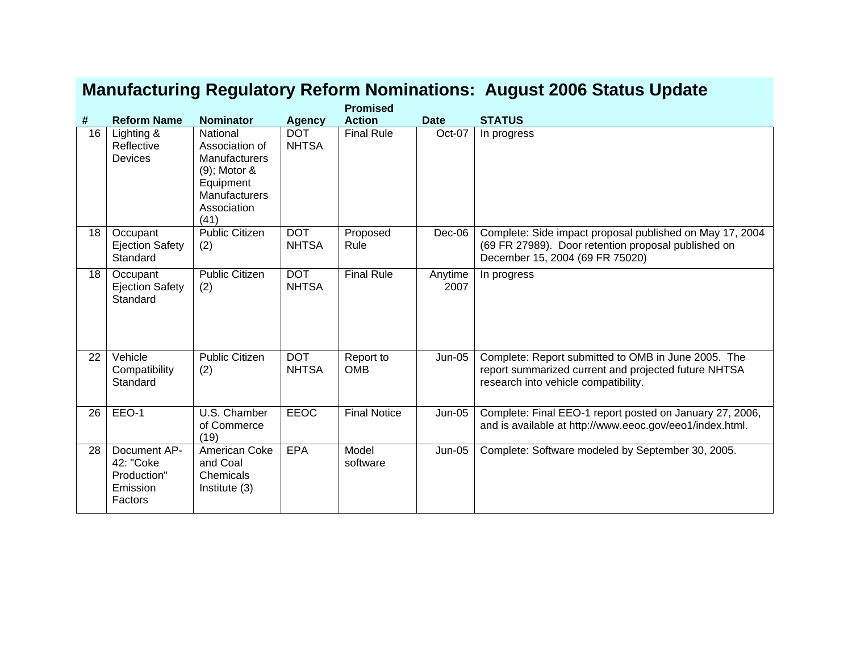|    | <b>Promised</b>                                                 |                                                                                                                                   |                            |                         |                 |                                                                                                                                                     |  |  |  |  |
|----|-----------------------------------------------------------------|-----------------------------------------------------------------------------------------------------------------------------------|----------------------------|-------------------------|-----------------|-----------------------------------------------------------------------------------------------------------------------------------------------------|--|--|--|--|
| #  | <b>Reform Name</b>                                              | <b>Nominator</b>                                                                                                                  | <b>Agency</b>              | <b>Action</b>           | <b>Date</b>     | <b>STATUS</b>                                                                                                                                       |  |  |  |  |
| 16 | Lighting &<br>Reflective<br>Devices                             | National<br>Association of<br><b>Manufacturers</b><br>$(9)$ ; Motor &<br>Equipment<br><b>Manufacturers</b><br>Association<br>(41) | <b>DOT</b><br><b>NHTSA</b> | <b>Final Rule</b>       | Oct-07          | In progress                                                                                                                                         |  |  |  |  |
| 18 | Occupant<br><b>Ejection Safety</b><br>Standard                  | <b>Public Citizen</b><br>(2)                                                                                                      | <b>DOT</b><br><b>NHTSA</b> | Proposed<br>Rule        | Dec-06          | Complete: Side impact proposal published on May 17, 2004<br>(69 FR 27989). Door retention proposal published on<br>December 15, 2004 (69 FR 75020)  |  |  |  |  |
| 18 | Occupant<br><b>Ejection Safety</b><br>Standard                  | Public Citizen<br>(2)                                                                                                             | <b>DOT</b><br><b>NHTSA</b> | <b>Final Rule</b>       | Anytime<br>2007 | In progress                                                                                                                                         |  |  |  |  |
| 22 | Vehicle<br>Compatibility<br>Standard                            | Public Citizen<br>(2)                                                                                                             | <b>DOT</b><br><b>NHTSA</b> | Report to<br><b>OMB</b> | <b>Jun-05</b>   | Complete: Report submitted to OMB in June 2005. The<br>report summarized current and projected future NHTSA<br>research into vehicle compatibility. |  |  |  |  |
| 26 | EEO-1                                                           | U.S. Chamber<br>of Commerce<br>(19)                                                                                               | EEOC                       | <b>Final Notice</b>     | <b>Jun-05</b>   | Complete: Final EEO-1 report posted on January 27, 2006,<br>and is available at http://www.eeoc.gov/eeo1/index.html.                                |  |  |  |  |
| 28 | Document AP-<br>42: "Coke<br>Production"<br>Emission<br>Factors | American Coke<br>and Coal<br>Chemicals<br>Institute (3)                                                                           | EPA                        | Model<br>software       | Jun-05          | Complete: Software modeled by September 30, 2005.                                                                                                   |  |  |  |  |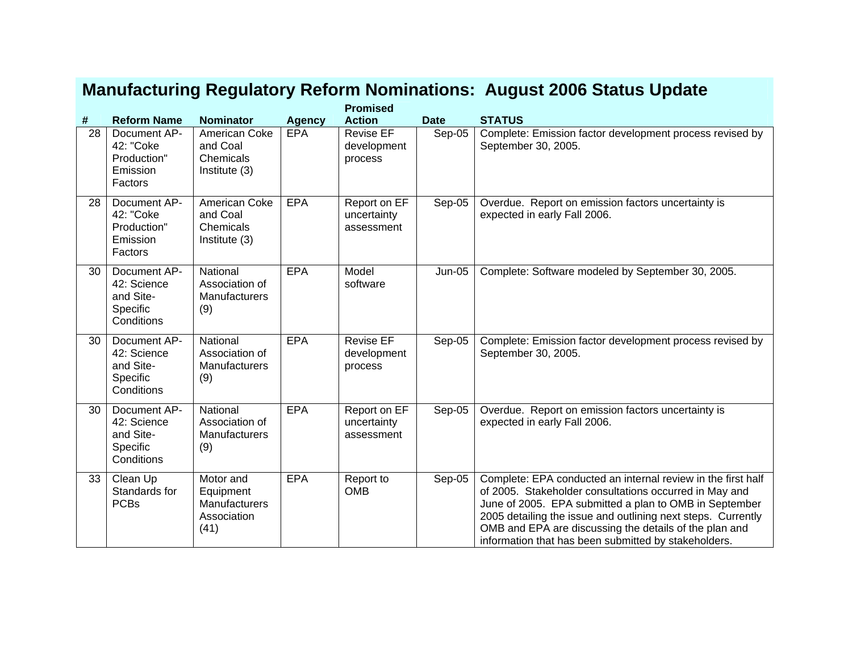|    |                                                                    |                                                                |               | <b>Promised</b>                            |               |                                                                                                                                                                                                                                                                                                                                                                    |
|----|--------------------------------------------------------------------|----------------------------------------------------------------|---------------|--------------------------------------------|---------------|--------------------------------------------------------------------------------------------------------------------------------------------------------------------------------------------------------------------------------------------------------------------------------------------------------------------------------------------------------------------|
| #  | <b>Reform Name</b>                                                 | <b>Nominator</b>                                               | <b>Agency</b> | <b>Action</b>                              | <b>Date</b>   | <b>STATUS</b>                                                                                                                                                                                                                                                                                                                                                      |
| 28 | Document AP-<br>42: "Coke<br>Production"<br>Emission<br>Factors    | American Coke<br>and Coal<br>Chemicals<br>Institute (3)        | <b>EPA</b>    | <b>Revise EF</b><br>development<br>process | Sep-05        | Complete: Emission factor development process revised by<br>September 30, 2005.                                                                                                                                                                                                                                                                                    |
| 28 | Document AP-<br>42: "Coke<br>Production"<br>Emission<br>Factors    | American Coke<br>and Coal<br>Chemicals<br>Institute (3)        | EPA           | Report on EF<br>uncertainty<br>assessment  | Sep-05        | Overdue. Report on emission factors uncertainty is<br>expected in early Fall 2006.                                                                                                                                                                                                                                                                                 |
| 30 | Document AP-<br>42: Science<br>and Site-<br>Specific<br>Conditions | National<br>Association of<br><b>Manufacturers</b><br>(9)      | <b>EPA</b>    | Model<br>software                          | <b>Jun-05</b> | Complete: Software modeled by September 30, 2005.                                                                                                                                                                                                                                                                                                                  |
| 30 | Document AP-<br>42: Science<br>and Site-<br>Specific<br>Conditions | National<br>Association of<br>Manufacturers<br>(9)             | <b>EPA</b>    | Revise EF<br>development<br>process        | Sep-05        | Complete: Emission factor development process revised by<br>September 30, 2005.                                                                                                                                                                                                                                                                                    |
| 30 | Document AP-<br>42: Science<br>and Site-<br>Specific<br>Conditions | National<br>Association of<br><b>Manufacturers</b><br>(9)      | <b>EPA</b>    | Report on EF<br>uncertainty<br>assessment  | Sep-05        | Overdue. Report on emission factors uncertainty is<br>expected in early Fall 2006.                                                                                                                                                                                                                                                                                 |
| 33 | Clean Up<br>Standards for<br><b>PCBs</b>                           | Motor and<br>Equipment<br>Manufacturers<br>Association<br>(41) | <b>EPA</b>    | Report to<br><b>OMB</b>                    | Sep-05        | Complete: EPA conducted an internal review in the first half<br>of 2005. Stakeholder consultations occurred in May and<br>June of 2005. EPA submitted a plan to OMB in September<br>2005 detailing the issue and outlining next steps. Currently<br>OMB and EPA are discussing the details of the plan and<br>information that has been submitted by stakeholders. |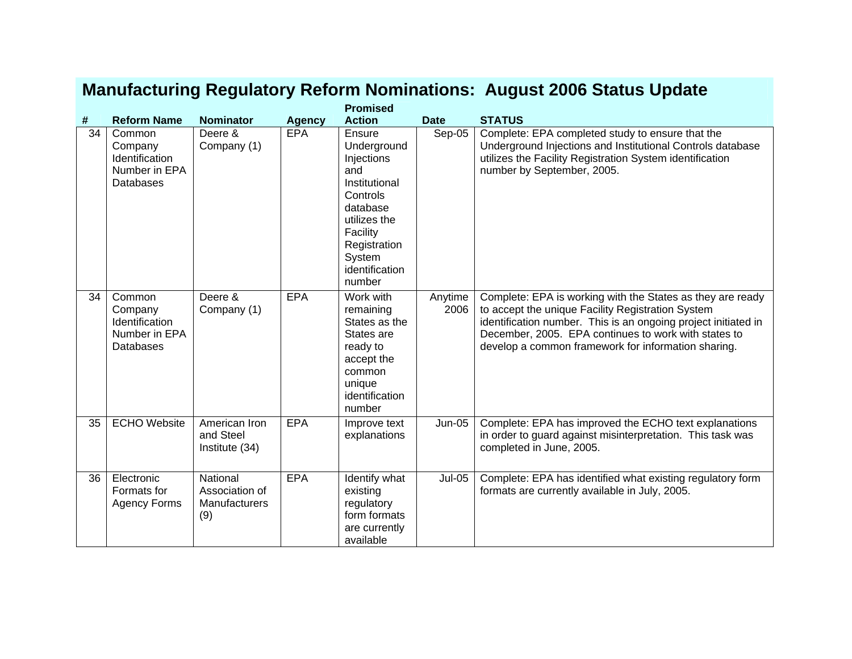|    |                                                                   |                                                           |               | <b>Promised</b>                                                                                                                                                       |                 |                                                                                                                                                                                                                                                                                                  |
|----|-------------------------------------------------------------------|-----------------------------------------------------------|---------------|-----------------------------------------------------------------------------------------------------------------------------------------------------------------------|-----------------|--------------------------------------------------------------------------------------------------------------------------------------------------------------------------------------------------------------------------------------------------------------------------------------------------|
| #  | <b>Reform Name</b>                                                | <b>Nominator</b>                                          | <b>Agency</b> | <b>Action</b>                                                                                                                                                         | <b>Date</b>     | <b>STATUS</b>                                                                                                                                                                                                                                                                                    |
| 34 | Common<br>Company<br>Identification<br>Number in EPA<br>Databases | Deere &<br>Company (1)                                    | <b>EPA</b>    | Ensure<br>Underground<br>Injections<br>and<br>Institutional<br>Controls<br>database<br>utilizes the<br>Facility<br>Registration<br>System<br>identification<br>number | Sep-05          | Complete: EPA completed study to ensure that the<br>Underground Injections and Institutional Controls database<br>utilizes the Facility Registration System identification<br>number by September, 2005.                                                                                         |
| 34 | Common<br>Company<br>Identification<br>Number in EPA<br>Databases | Deere &<br>Company (1)                                    | <b>EPA</b>    | Work with<br>remaining<br>States as the<br>States are<br>ready to<br>accept the<br>common<br>unique<br>identification<br>number                                       | Anytime<br>2006 | Complete: EPA is working with the States as they are ready<br>to accept the unique Facility Registration System<br>identification number. This is an ongoing project initiated in<br>December, 2005. EPA continues to work with states to<br>develop a common framework for information sharing. |
| 35 | <b>ECHO</b> Website                                               | American Iron<br>and Steel<br>Institute (34)              | <b>EPA</b>    | Improve text<br>explanations                                                                                                                                          | <b>Jun-05</b>   | Complete: EPA has improved the ECHO text explanations<br>in order to guard against misinterpretation. This task was<br>completed in June, 2005.                                                                                                                                                  |
| 36 | Electronic<br>Formats for<br><b>Agency Forms</b>                  | National<br>Association of<br><b>Manufacturers</b><br>(9) | <b>EPA</b>    | Identify what<br>existing<br>regulatory<br>form formats<br>are currently<br>available                                                                                 | <b>Jul-05</b>   | Complete: EPA has identified what existing regulatory form<br>formats are currently available in July, 2005.                                                                                                                                                                                     |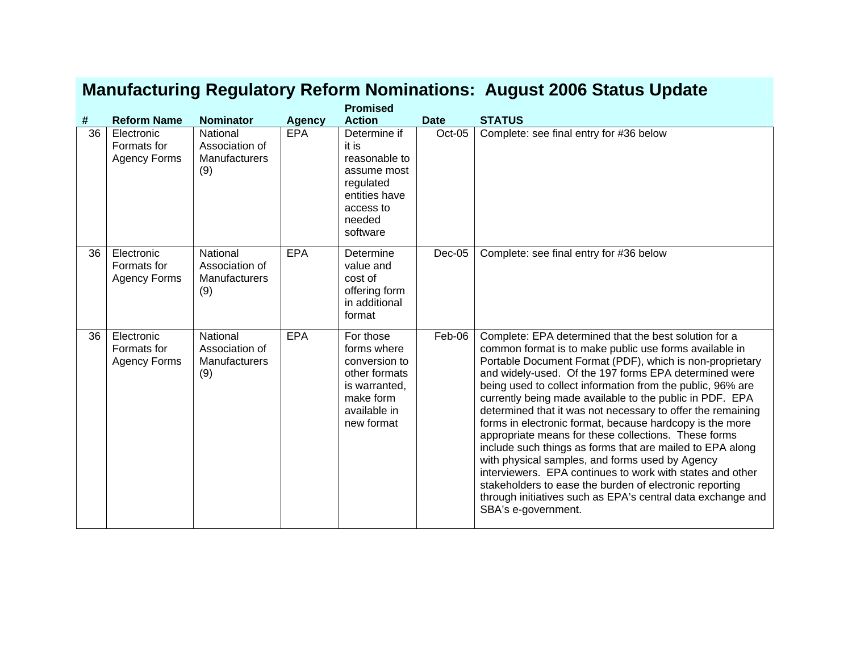|    |                                                  |                                                           |               | <b>Promised</b>                                                                                                        |             |                                                                                                                                                                                                                                                                                                                                                                                                                                                                                                                                                                                                                                                                                                                                                                                                                                                                                 |
|----|--------------------------------------------------|-----------------------------------------------------------|---------------|------------------------------------------------------------------------------------------------------------------------|-------------|---------------------------------------------------------------------------------------------------------------------------------------------------------------------------------------------------------------------------------------------------------------------------------------------------------------------------------------------------------------------------------------------------------------------------------------------------------------------------------------------------------------------------------------------------------------------------------------------------------------------------------------------------------------------------------------------------------------------------------------------------------------------------------------------------------------------------------------------------------------------------------|
| #  | <b>Reform Name</b>                               | <b>Nominator</b>                                          | <b>Agency</b> | <b>Action</b>                                                                                                          | <b>Date</b> | <b>STATUS</b>                                                                                                                                                                                                                                                                                                                                                                                                                                                                                                                                                                                                                                                                                                                                                                                                                                                                   |
| 36 | Electronic<br>Formats for<br><b>Agency Forms</b> | National<br>Association of<br>Manufacturers<br>(9)        | <b>EPA</b>    | Determine if<br>it is<br>reasonable to<br>assume most<br>regulated<br>entities have<br>access to<br>needed<br>software | Oct-05      | Complete: see final entry for #36 below                                                                                                                                                                                                                                                                                                                                                                                                                                                                                                                                                                                                                                                                                                                                                                                                                                         |
| 36 | Electronic<br>Formats for<br><b>Agency Forms</b> | National<br>Association of<br><b>Manufacturers</b><br>(9) | <b>EPA</b>    | Determine<br>value and<br>cost of<br>offering form<br>in additional<br>format                                          | $Dec-05$    | Complete: see final entry for #36 below                                                                                                                                                                                                                                                                                                                                                                                                                                                                                                                                                                                                                                                                                                                                                                                                                                         |
| 36 | Electronic<br>Formats for<br><b>Agency Forms</b> | National<br>Association of<br><b>Manufacturers</b><br>(9) | <b>EPA</b>    | For those<br>forms where<br>conversion to<br>other formats<br>is warranted,<br>make form<br>available in<br>new format | Feb-06      | Complete: EPA determined that the best solution for a<br>common format is to make public use forms available in<br>Portable Document Format (PDF), which is non-proprietary<br>and widely-used. Of the 197 forms EPA determined were<br>being used to collect information from the public, 96% are<br>currently being made available to the public in PDF. EPA<br>determined that it was not necessary to offer the remaining<br>forms in electronic format, because hardcopy is the more<br>appropriate means for these collections. These forms<br>include such things as forms that are mailed to EPA along<br>with physical samples, and forms used by Agency<br>interviewers. EPA continues to work with states and other<br>stakeholders to ease the burden of electronic reporting<br>through initiatives such as EPA's central data exchange and<br>SBA's e-government. |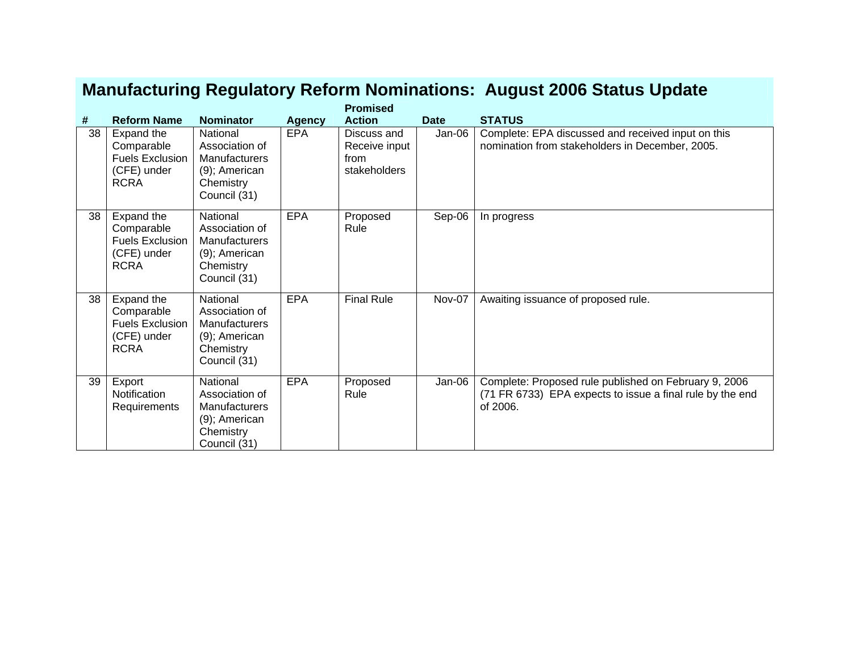|    |                                                                                  |                                                                                                  |               | <b>Promised</b>                                      |             |                                                                                                                                |
|----|----------------------------------------------------------------------------------|--------------------------------------------------------------------------------------------------|---------------|------------------------------------------------------|-------------|--------------------------------------------------------------------------------------------------------------------------------|
| #  | <b>Reform Name</b>                                                               | <b>Nominator</b>                                                                                 | <b>Agency</b> | <b>Action</b>                                        | <b>Date</b> | <b>STATUS</b>                                                                                                                  |
| 38 | Expand the<br>Comparable<br><b>Fuels Exclusion</b><br>(CFE) under<br><b>RCRA</b> | National<br>Association of<br><b>Manufacturers</b><br>(9); American<br>Chemistry<br>Council (31) | <b>EPA</b>    | Discuss and<br>Receive input<br>from<br>stakeholders | Jan-06      | Complete: EPA discussed and received input on this<br>nomination from stakeholders in December, 2005.                          |
| 38 | Expand the<br>Comparable<br><b>Fuels Exclusion</b><br>(CFE) under<br><b>RCRA</b> | National<br>Association of<br><b>Manufacturers</b><br>(9); American<br>Chemistry<br>Council (31) | <b>EPA</b>    | Proposed<br>Rule                                     | Sep-06      | In progress                                                                                                                    |
| 38 | Expand the<br>Comparable<br><b>Fuels Exclusion</b><br>(CFE) under<br><b>RCRA</b> | National<br>Association of<br><b>Manufacturers</b><br>(9); American<br>Chemistry<br>Council (31) | <b>EPA</b>    | <b>Final Rule</b>                                    | Nov-07      | Awaiting issuance of proposed rule.                                                                                            |
| 39 | Export<br><b>Notification</b><br><b>Requirements</b>                             | National<br>Association of<br><b>Manufacturers</b><br>(9); American<br>Chemistry<br>Council (31) | <b>EPA</b>    | Proposed<br>Rule                                     | Jan-06      | Complete: Proposed rule published on February 9, 2006<br>(71 FR 6733) EPA expects to issue a final rule by the end<br>of 2006. |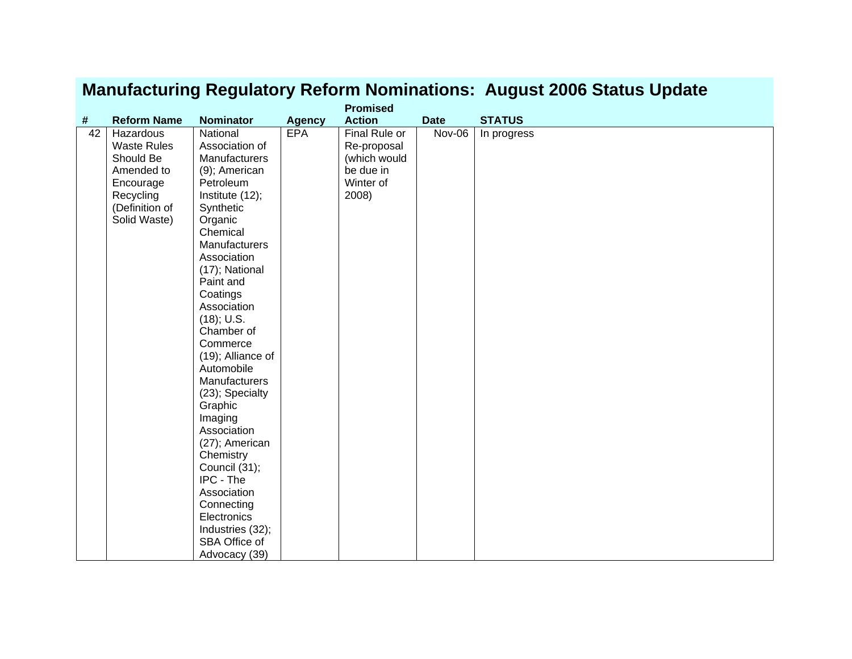|      |                    |                   |               | <b>Promised</b> |             |               |
|------|--------------------|-------------------|---------------|-----------------|-------------|---------------|
| $\#$ | <b>Reform Name</b> | <b>Nominator</b>  | <b>Agency</b> | <b>Action</b>   | <b>Date</b> | <b>STATUS</b> |
| 42   | Hazardous          | National          | <b>EPA</b>    | Final Rule or   | $Nov-06$    | In progress   |
|      | <b>Waste Rules</b> | Association of    |               | Re-proposal     |             |               |
|      | Should Be          | Manufacturers     |               | (which would    |             |               |
|      | Amended to         | (9); American     |               | be due in       |             |               |
|      | Encourage          | Petroleum         |               | Winter of       |             |               |
|      | Recycling          | Institute (12);   |               | 2008)           |             |               |
|      | (Definition of     | Synthetic         |               |                 |             |               |
|      | Solid Waste)       | Organic           |               |                 |             |               |
|      |                    | Chemical          |               |                 |             |               |
|      |                    | Manufacturers     |               |                 |             |               |
|      |                    | Association       |               |                 |             |               |
|      |                    | (17); National    |               |                 |             |               |
|      |                    | Paint and         |               |                 |             |               |
|      |                    | Coatings          |               |                 |             |               |
|      |                    | Association       |               |                 |             |               |
|      |                    | $(18)$ ; U.S.     |               |                 |             |               |
|      |                    | Chamber of        |               |                 |             |               |
|      |                    | Commerce          |               |                 |             |               |
|      |                    | (19); Alliance of |               |                 |             |               |
|      |                    | Automobile        |               |                 |             |               |
|      |                    | Manufacturers     |               |                 |             |               |
|      |                    | (23); Specialty   |               |                 |             |               |
|      |                    | Graphic           |               |                 |             |               |
|      |                    | Imaging           |               |                 |             |               |
|      |                    | Association       |               |                 |             |               |
|      |                    | (27); American    |               |                 |             |               |
|      |                    | Chemistry         |               |                 |             |               |
|      |                    | Council (31);     |               |                 |             |               |
|      |                    | IPC - The         |               |                 |             |               |
|      |                    | Association       |               |                 |             |               |
|      |                    | Connecting        |               |                 |             |               |
|      |                    | Electronics       |               |                 |             |               |
|      |                    | Industries (32);  |               |                 |             |               |
|      |                    | SBA Office of     |               |                 |             |               |
|      |                    | Advocacy (39)     |               |                 |             |               |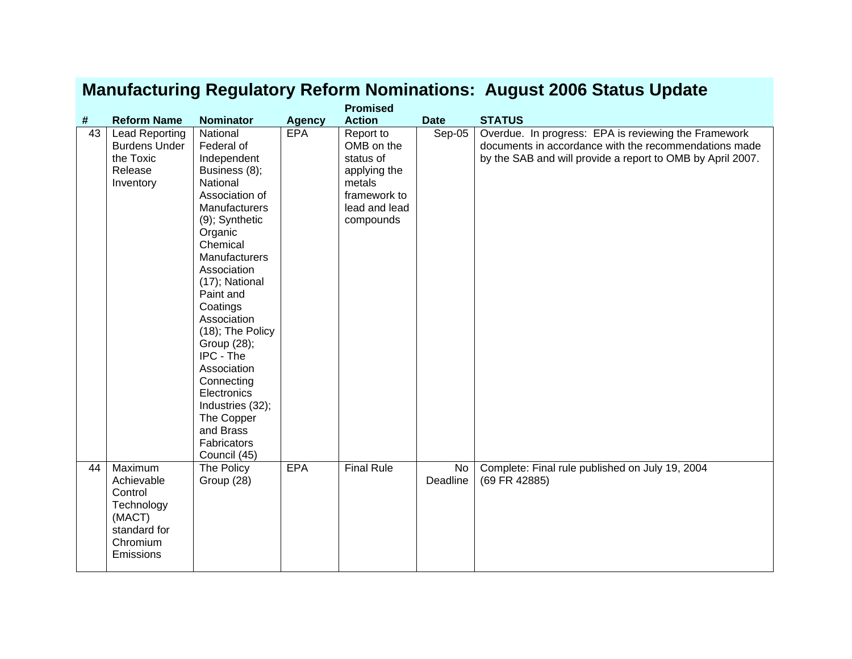|    |                                                                                                   |                                                                                                                                                                                                                                                                                                                                                                                                                    |               | <b>Promised</b>                                                                                              |                       |                                                                                                                                                                             |
|----|---------------------------------------------------------------------------------------------------|--------------------------------------------------------------------------------------------------------------------------------------------------------------------------------------------------------------------------------------------------------------------------------------------------------------------------------------------------------------------------------------------------------------------|---------------|--------------------------------------------------------------------------------------------------------------|-----------------------|-----------------------------------------------------------------------------------------------------------------------------------------------------------------------------|
| #  | <b>Reform Name</b>                                                                                | <b>Nominator</b>                                                                                                                                                                                                                                                                                                                                                                                                   | <b>Agency</b> | <b>Action</b>                                                                                                | <b>Date</b>           | <b>STATUS</b>                                                                                                                                                               |
| 43 | <b>Lead Reporting</b><br><b>Burdens Under</b><br>the Toxic<br>Release<br>Inventory                | National<br>Federal of<br>Independent<br>Business (8);<br>National<br>Association of<br>Manufacturers<br>(9); Synthetic<br>Organic<br>Chemical<br>Manufacturers<br>Association<br>(17); National<br>Paint and<br>Coatings<br>Association<br>(18); The Policy<br>Group (28);<br>IPC - The<br>Association<br>Connecting<br>Electronics<br>Industries (32);<br>The Copper<br>and Brass<br>Fabricators<br>Council (45) | <b>EPA</b>    | Report to<br>OMB on the<br>status of<br>applying the<br>metals<br>framework to<br>lead and lead<br>compounds | Sep-05                | Overdue. In progress: EPA is reviewing the Framework<br>documents in accordance with the recommendations made<br>by the SAB and will provide a report to OMB by April 2007. |
| 44 | Maximum<br>Achievable<br>Control<br>Technology<br>(MACT)<br>standard for<br>Chromium<br>Emissions | The Policy<br>Group (28)                                                                                                                                                                                                                                                                                                                                                                                           | <b>EPA</b>    | <b>Final Rule</b>                                                                                            | <b>No</b><br>Deadline | Complete: Final rule published on July 19, 2004<br>(69 FR 42885)                                                                                                            |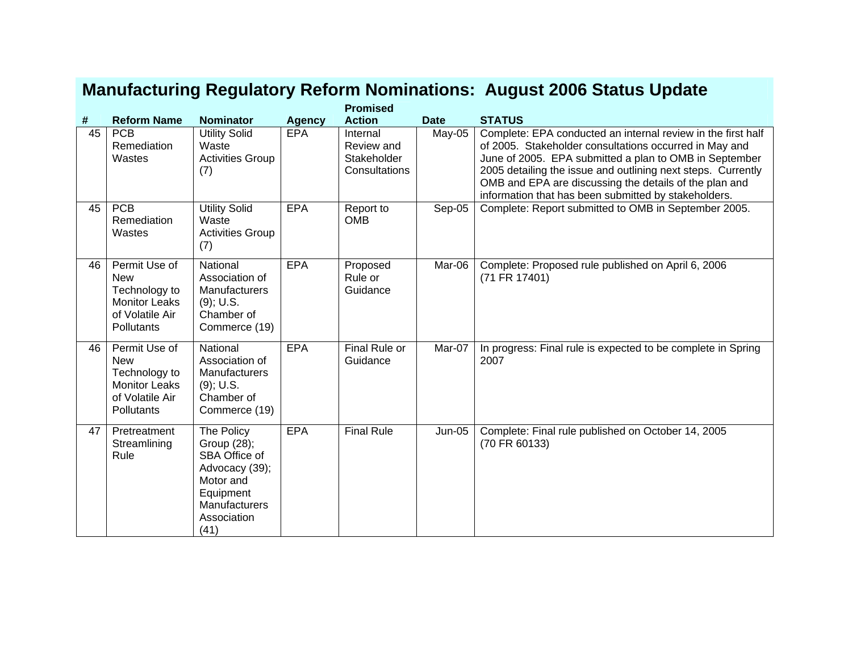|    | <b>Promised</b>                                                                                       |                                                                                                                                       |               |                                                        |               |                                                                                                                                                                                                                                                                                                                                                                    |  |  |  |  |
|----|-------------------------------------------------------------------------------------------------------|---------------------------------------------------------------------------------------------------------------------------------------|---------------|--------------------------------------------------------|---------------|--------------------------------------------------------------------------------------------------------------------------------------------------------------------------------------------------------------------------------------------------------------------------------------------------------------------------------------------------------------------|--|--|--|--|
| #  | <b>Reform Name</b>                                                                                    | <b>Nominator</b>                                                                                                                      | <b>Agency</b> | <b>Action</b>                                          | <b>Date</b>   | <b>STATUS</b>                                                                                                                                                                                                                                                                                                                                                      |  |  |  |  |
| 45 | <b>PCB</b><br>Remediation<br>Wastes                                                                   | <b>Utility Solid</b><br>Waste<br><b>Activities Group</b><br>(7)                                                                       | <b>EPA</b>    | Internal<br>Review and<br>Stakeholder<br>Consultations | May-05        | Complete: EPA conducted an internal review in the first half<br>of 2005. Stakeholder consultations occurred in May and<br>June of 2005. EPA submitted a plan to OMB in September<br>2005 detailing the issue and outlining next steps. Currently<br>OMB and EPA are discussing the details of the plan and<br>information that has been submitted by stakeholders. |  |  |  |  |
| 45 | <b>PCB</b><br>Remediation<br>Wastes                                                                   | <b>Utility Solid</b><br>Waste<br><b>Activities Group</b><br>(7)                                                                       | <b>EPA</b>    | Report to<br><b>OMB</b>                                | Sep-05        | Complete: Report submitted to OMB in September 2005.                                                                                                                                                                                                                                                                                                               |  |  |  |  |
| 46 | Permit Use of<br><b>New</b><br>Technology to<br><b>Monitor Leaks</b><br>of Volatile Air<br>Pollutants | National<br>Association of<br><b>Manufacturers</b><br>$(9)$ ; U.S.<br>Chamber of<br>Commerce (19)                                     | <b>EPA</b>    | Proposed<br>Rule or<br>Guidance                        | Mar-06        | Complete: Proposed rule published on April 6, 2006<br>(71 FR 17401)                                                                                                                                                                                                                                                                                                |  |  |  |  |
| 46 | Permit Use of<br><b>New</b><br>Technology to<br><b>Monitor Leaks</b><br>of Volatile Air<br>Pollutants | National<br>Association of<br><b>Manufacturers</b><br>$(9)$ ; U.S.<br>Chamber of<br>Commerce (19)                                     | EPA           | Final Rule or<br>Guidance                              | Mar-07        | In progress: Final rule is expected to be complete in Spring<br>2007                                                                                                                                                                                                                                                                                               |  |  |  |  |
| 47 | Pretreatment<br>Streamlining<br>Rule                                                                  | The Policy<br>Group (28);<br>SBA Office of<br>Advocacy (39);<br>Motor and<br>Equipment<br><b>Manufacturers</b><br>Association<br>(41) | <b>EPA</b>    | <b>Final Rule</b>                                      | <b>Jun-05</b> | Complete: Final rule published on October 14, 2005<br>(70 FR 60133)                                                                                                                                                                                                                                                                                                |  |  |  |  |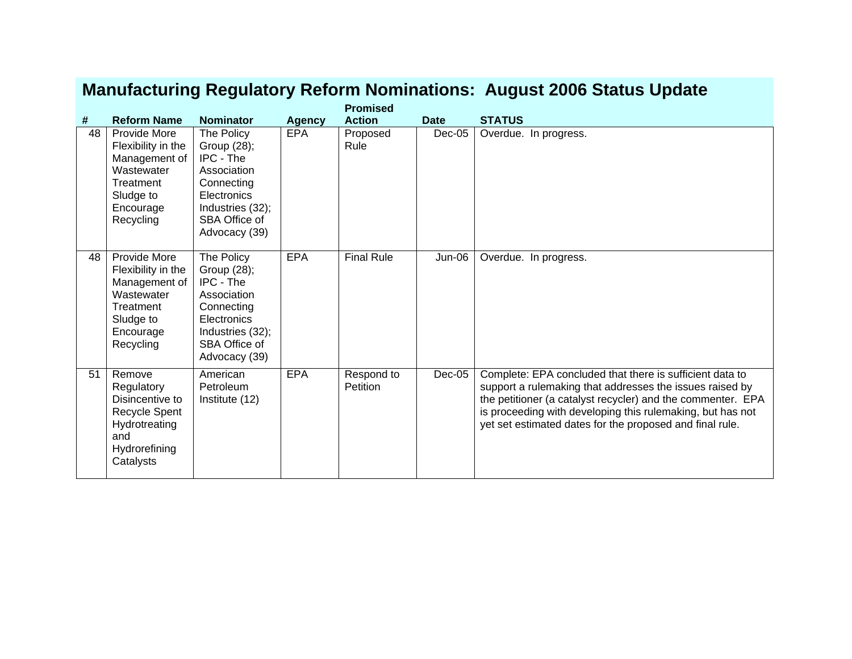|    | <b>Promised</b>                                                                                                       |                                                                                                                                          |               |                        |               |                                                                                                                                                                                                                                                                                                               |  |  |  |  |
|----|-----------------------------------------------------------------------------------------------------------------------|------------------------------------------------------------------------------------------------------------------------------------------|---------------|------------------------|---------------|---------------------------------------------------------------------------------------------------------------------------------------------------------------------------------------------------------------------------------------------------------------------------------------------------------------|--|--|--|--|
| #  | <b>Reform Name</b>                                                                                                    | <b>Nominator</b>                                                                                                                         | <b>Agency</b> | <b>Action</b>          | <b>Date</b>   | <b>STATUS</b>                                                                                                                                                                                                                                                                                                 |  |  |  |  |
| 48 | Provide More<br>Flexibility in the<br>Management of<br>Wastewater<br>Treatment<br>Sludge to<br>Encourage<br>Recycling | The Policy<br>Group (28);<br>IPC - The<br>Association<br>Connecting<br>Electronics<br>Industries (32);<br>SBA Office of<br>Advocacy (39) | <b>EPA</b>    | Proposed<br>Rule       | Dec-05        | Overdue. In progress.                                                                                                                                                                                                                                                                                         |  |  |  |  |
| 48 | Provide More<br>Flexibility in the<br>Management of<br>Wastewater<br>Treatment<br>Sludge to<br>Encourage<br>Recycling | The Policy<br>Group (28);<br>IPC - The<br>Association<br>Connecting<br>Electronics<br>Industries (32);<br>SBA Office of<br>Advocacy (39) | EPA           | <b>Final Rule</b>      | <b>Jun-06</b> | Overdue. In progress.                                                                                                                                                                                                                                                                                         |  |  |  |  |
| 51 | Remove<br>Regulatory<br>Disincentive to<br>Recycle Spent<br>Hydrotreating<br>and<br>Hydrorefining<br>Catalysts        | American<br>Petroleum<br>Institute (12)                                                                                                  | <b>EPA</b>    | Respond to<br>Petition | $Dec-05$      | Complete: EPA concluded that there is sufficient data to<br>support a rulemaking that addresses the issues raised by<br>the petitioner (a catalyst recycler) and the commenter. EPA<br>is proceeding with developing this rulemaking, but has not<br>yet set estimated dates for the proposed and final rule. |  |  |  |  |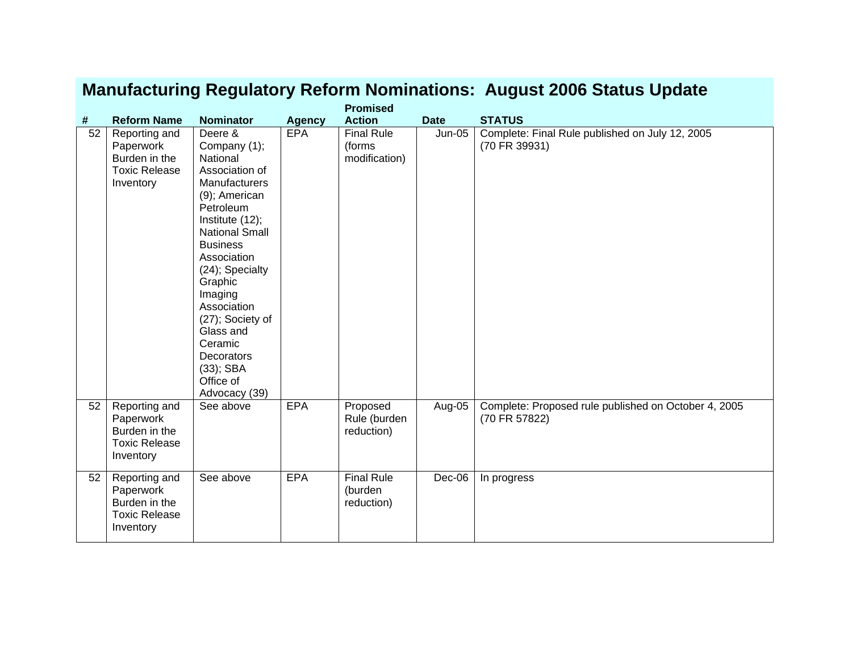|    |                                                                                  |                                                                                                                                                                                                                                                                                                                                                    |               | <b>Promised</b>                              |             |                                                                       |
|----|----------------------------------------------------------------------------------|----------------------------------------------------------------------------------------------------------------------------------------------------------------------------------------------------------------------------------------------------------------------------------------------------------------------------------------------------|---------------|----------------------------------------------|-------------|-----------------------------------------------------------------------|
| #  | <b>Reform Name</b>                                                               | <b>Nominator</b>                                                                                                                                                                                                                                                                                                                                   | <b>Agency</b> | <b>Action</b>                                | <b>Date</b> | <b>STATUS</b>                                                         |
| 52 | Reporting and<br>Paperwork<br>Burden in the<br><b>Toxic Release</b><br>Inventory | Deere &<br>Company (1);<br>National<br>Association of<br>Manufacturers<br>(9); American<br>Petroleum<br>Institute (12);<br><b>National Small</b><br><b>Business</b><br>Association<br>(24); Specialty<br>Graphic<br>Imaging<br>Association<br>(27); Society of<br>Glass and<br>Ceramic<br>Decorators<br>$(33)$ ; SBA<br>Office of<br>Advocacy (39) | <b>EPA</b>    | <b>Final Rule</b><br>(forms<br>modification) | $Jun-05$    | Complete: Final Rule published on July 12, 2005<br>(70 FR 39931)      |
| 52 | Reporting and<br>Paperwork<br>Burden in the<br><b>Toxic Release</b><br>Inventory | See above                                                                                                                                                                                                                                                                                                                                          | <b>EPA</b>    | Proposed<br>Rule (burden<br>reduction)       | Aug-05      | Complete: Proposed rule published on October 4, 2005<br>(70 FR 57822) |
| 52 | Reporting and<br>Paperwork<br>Burden in the<br><b>Toxic Release</b><br>Inventory | See above                                                                                                                                                                                                                                                                                                                                          | <b>EPA</b>    | <b>Final Rule</b><br>(burden<br>reduction)   | Dec-06      | In progress                                                           |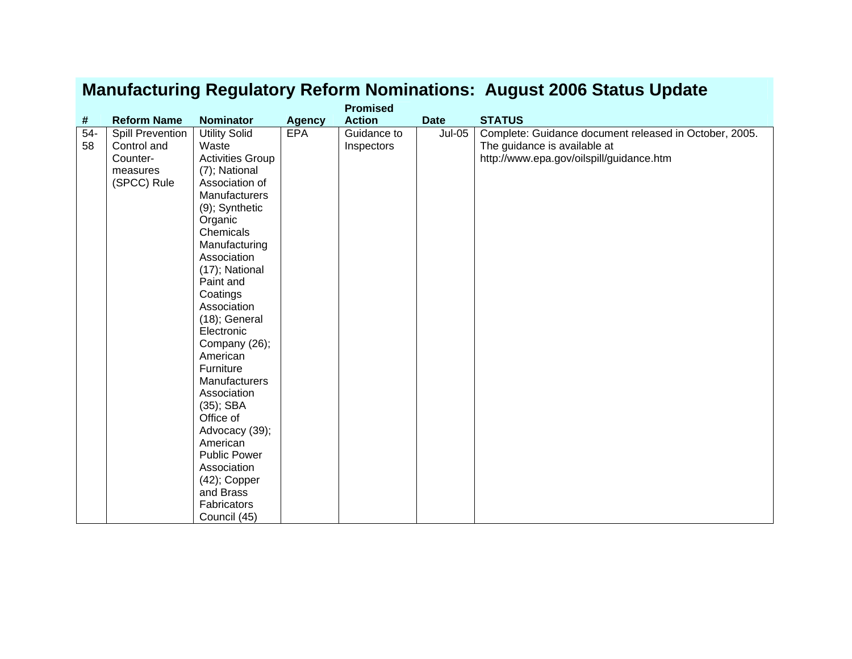|       |                         |                         |               | <b>Promised</b> |               |                                                        |
|-------|-------------------------|-------------------------|---------------|-----------------|---------------|--------------------------------------------------------|
| #     | <b>Reform Name</b>      | <b>Nominator</b>        | <b>Agency</b> | <b>Action</b>   | <b>Date</b>   | <b>STATUS</b>                                          |
| $54-$ | <b>Spill Prevention</b> | <b>Utility Solid</b>    | <b>EPA</b>    | Guidance to     | <b>Jul-05</b> | Complete: Guidance document released in October, 2005. |
| 58    | Control and             | Waste                   |               | Inspectors      |               | The guidance is available at                           |
|       | Counter-                | <b>Activities Group</b> |               |                 |               | http://www.epa.gov/oilspill/guidance.htm               |
|       | measures                | (7); National           |               |                 |               |                                                        |
|       | (SPCC) Rule             | Association of          |               |                 |               |                                                        |
|       |                         | Manufacturers           |               |                 |               |                                                        |
|       |                         | (9); Synthetic          |               |                 |               |                                                        |
|       |                         | Organic                 |               |                 |               |                                                        |
|       |                         | Chemicals               |               |                 |               |                                                        |
|       |                         | Manufacturing           |               |                 |               |                                                        |
|       |                         | Association             |               |                 |               |                                                        |
|       |                         | (17); National          |               |                 |               |                                                        |
|       |                         | Paint and               |               |                 |               |                                                        |
|       |                         | Coatings                |               |                 |               |                                                        |
|       |                         | Association             |               |                 |               |                                                        |
|       |                         | $(18)$ ; General        |               |                 |               |                                                        |
|       |                         | Electronic              |               |                 |               |                                                        |
|       |                         | Company (26);           |               |                 |               |                                                        |
|       |                         | American                |               |                 |               |                                                        |
|       |                         | Furniture               |               |                 |               |                                                        |
|       |                         | Manufacturers           |               |                 |               |                                                        |
|       |                         | Association             |               |                 |               |                                                        |
|       |                         | (35); SBA               |               |                 |               |                                                        |
|       |                         | Office of               |               |                 |               |                                                        |
|       |                         | Advocacy (39);          |               |                 |               |                                                        |
|       |                         | American                |               |                 |               |                                                        |
|       |                         | <b>Public Power</b>     |               |                 |               |                                                        |
|       |                         | Association             |               |                 |               |                                                        |
|       |                         | $(42)$ ; Copper         |               |                 |               |                                                        |
|       |                         | and Brass               |               |                 |               |                                                        |
|       |                         | Fabricators             |               |                 |               |                                                        |
|       |                         | Council (45)            |               |                 |               |                                                        |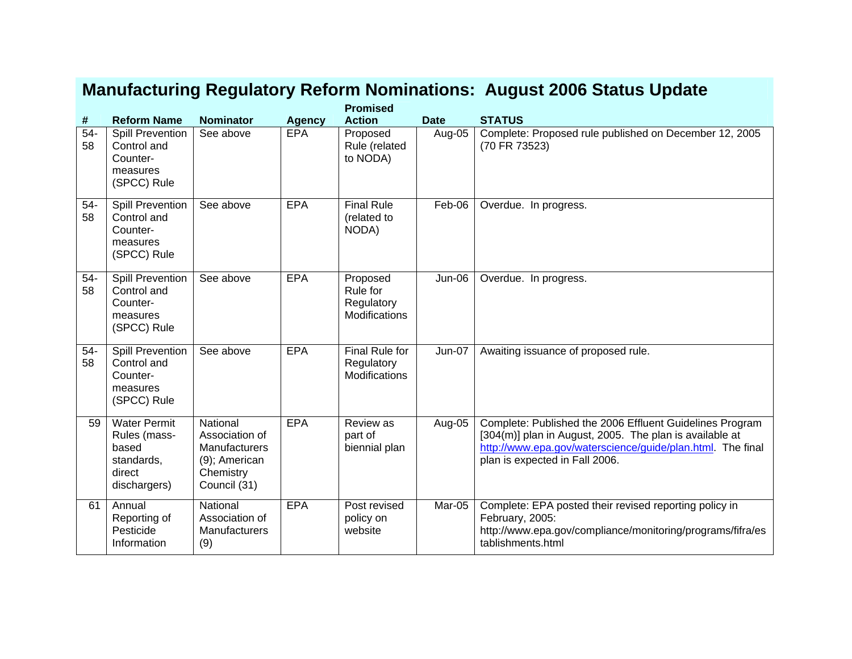|             |                                                                                      |                                                                                                  |               | <b>Promised</b>                                      |               |                                                                                                                                                                                                                     |
|-------------|--------------------------------------------------------------------------------------|--------------------------------------------------------------------------------------------------|---------------|------------------------------------------------------|---------------|---------------------------------------------------------------------------------------------------------------------------------------------------------------------------------------------------------------------|
| #           | <b>Reform Name</b>                                                                   | <b>Nominator</b>                                                                                 | <b>Agency</b> | <b>Action</b>                                        | <b>Date</b>   | <b>STATUS</b>                                                                                                                                                                                                       |
| $54-$<br>58 | <b>Spill Prevention</b><br>Control and<br>Counter-<br>measures<br>(SPCC) Rule        | See above                                                                                        | <b>EPA</b>    | Proposed<br>Rule (related<br>to NODA)                | Aug-05        | Complete: Proposed rule published on December 12, 2005<br>(70 FR 73523)                                                                                                                                             |
| $54-$<br>58 | <b>Spill Prevention</b><br>Control and<br>Counter-<br>measures<br>(SPCC) Rule        | See above                                                                                        | <b>EPA</b>    | <b>Final Rule</b><br>(related to<br>NODA)            | Feb-06        | Overdue. In progress.                                                                                                                                                                                               |
| $54-$<br>58 | <b>Spill Prevention</b><br>Control and<br>Counter-<br>measures<br>(SPCC) Rule        | See above                                                                                        | <b>EPA</b>    | Proposed<br>Rule for<br>Regulatory<br>Modifications  | <b>Jun-06</b> | Overdue. In progress.                                                                                                                                                                                               |
| $54-$<br>58 | <b>Spill Prevention</b><br>Control and<br>Counter-<br>measures<br>(SPCC) Rule        | See above                                                                                        | <b>EPA</b>    | Final Rule for<br>Regulatory<br><b>Modifications</b> | Jun-07        | Awaiting issuance of proposed rule.                                                                                                                                                                                 |
| 59          | <b>Water Permit</b><br>Rules (mass-<br>based<br>standards,<br>direct<br>dischargers) | National<br>Association of<br><b>Manufacturers</b><br>(9); American<br>Chemistry<br>Council (31) | <b>EPA</b>    | Review as<br>part of<br>biennial plan                | Aug-05        | Complete: Published the 2006 Effluent Guidelines Program<br>[304(m)] plan in August, 2005. The plan is available at<br>http://www.epa.gov/waterscience/guide/plan.html. The final<br>plan is expected in Fall 2006. |
| 61          | Annual<br>Reporting of<br>Pesticide<br>Information                                   | National<br>Association of<br>Manufacturers<br>(9)                                               | <b>EPA</b>    | Post revised<br>policy on<br>website                 | Mar-05        | Complete: EPA posted their revised reporting policy in<br>February, 2005:<br>http://www.epa.gov/compliance/monitoring/programs/fifra/es<br>tablishments.html                                                        |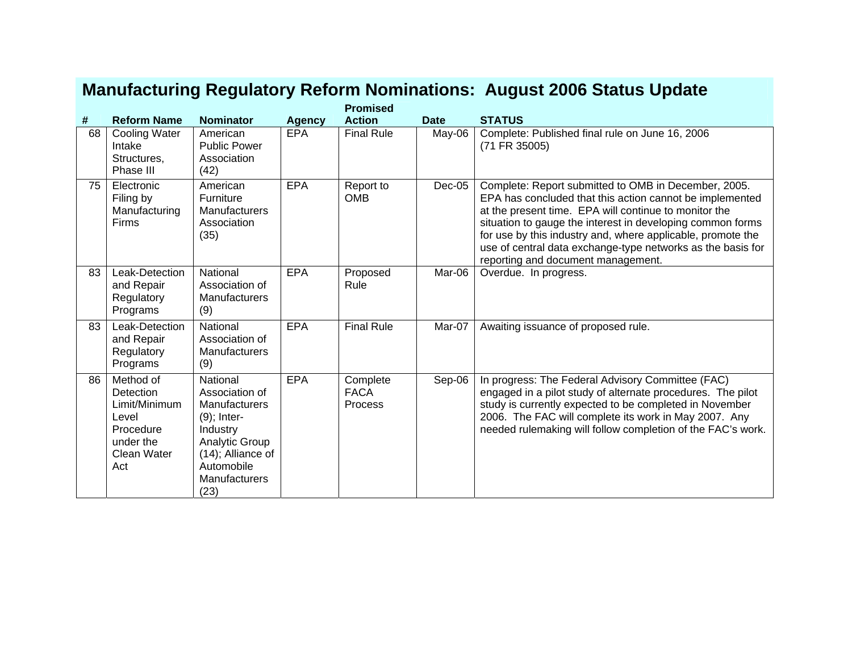|    |                                                                                                  |                                                                                                                                                                                 |               | <b>Promised</b>                    |             |                                                                                                                                                                                                                                                                                                                                                                                                             |
|----|--------------------------------------------------------------------------------------------------|---------------------------------------------------------------------------------------------------------------------------------------------------------------------------------|---------------|------------------------------------|-------------|-------------------------------------------------------------------------------------------------------------------------------------------------------------------------------------------------------------------------------------------------------------------------------------------------------------------------------------------------------------------------------------------------------------|
| #  | <b>Reform Name</b>                                                                               | <b>Nominator</b>                                                                                                                                                                | <b>Agency</b> | <b>Action</b>                      | <b>Date</b> | <b>STATUS</b>                                                                                                                                                                                                                                                                                                                                                                                               |
| 68 | Cooling Water<br>Intake<br>Structures,<br>Phase III                                              | American<br><b>Public Power</b><br>Association<br>(42)                                                                                                                          | <b>EPA</b>    | <b>Final Rule</b>                  | May-06      | Complete: Published final rule on June 16, 2006<br>(71 FR 35005)                                                                                                                                                                                                                                                                                                                                            |
| 75 | Electronic<br>Filing by<br>Manufacturing<br>Firms                                                | American<br>Furniture<br><b>Manufacturers</b><br>Association<br>(35)                                                                                                            | <b>EPA</b>    | Report to<br><b>OMB</b>            | $Dec-05$    | Complete: Report submitted to OMB in December, 2005.<br>EPA has concluded that this action cannot be implemented<br>at the present time. EPA will continue to monitor the<br>situation to gauge the interest in developing common forms<br>for use by this industry and, where applicable, promote the<br>use of central data exchange-type networks as the basis for<br>reporting and document management. |
| 83 | Leak-Detection<br>and Repair<br>Regulatory<br>Programs                                           | National<br>Association of<br><b>Manufacturers</b><br>(9)                                                                                                                       | <b>EPA</b>    | Proposed<br>Rule                   | Mar-06      | Overdue. In progress.                                                                                                                                                                                                                                                                                                                                                                                       |
| 83 | Leak-Detection<br>and Repair<br>Regulatory<br>Programs                                           | National<br>Association of<br><b>Manufacturers</b><br>(9)                                                                                                                       | <b>EPA</b>    | <b>Final Rule</b>                  | Mar-07      | Awaiting issuance of proposed rule.                                                                                                                                                                                                                                                                                                                                                                         |
| 86 | Method of<br>Detection<br>Limit/Minimum<br>Level<br>Procedure<br>under the<br>Clean Water<br>Act | <b>National</b><br>Association of<br><b>Manufacturers</b><br>$(9)$ ; Inter-<br>Industry<br>Analytic Group<br>$(14)$ ; Alliance of<br>Automobile<br><b>Manufacturers</b><br>(23) | <b>EPA</b>    | Complete<br><b>FACA</b><br>Process | Sep-06      | In progress: The Federal Advisory Committee (FAC)<br>engaged in a pilot study of alternate procedures. The pilot<br>study is currently expected to be completed in November<br>2006. The FAC will complete its work in May 2007. Any<br>needed rulemaking will follow completion of the FAC's work.                                                                                                         |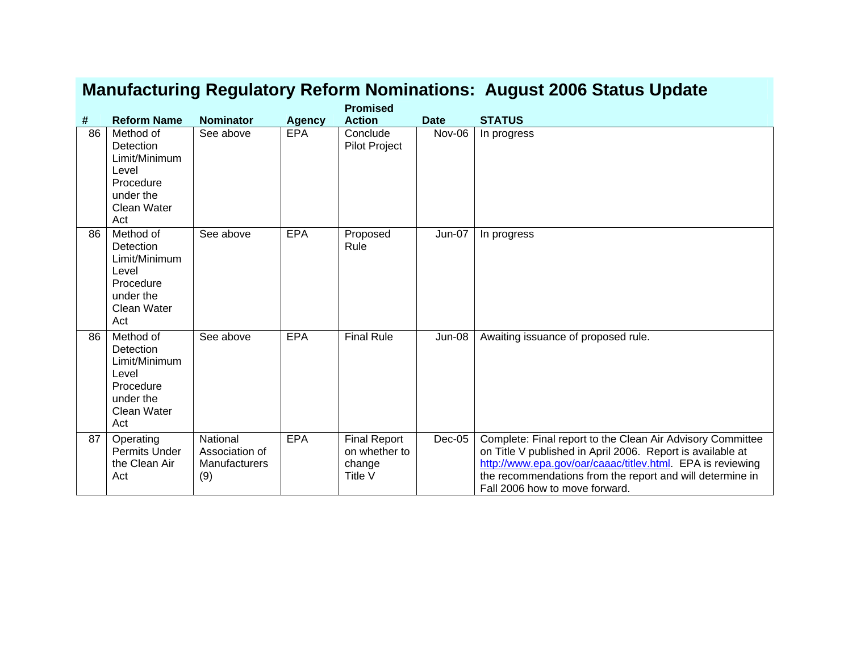|    |                                                                                                         |                                                           |               | <b>Promised</b>                                           |               |                                                                                                                                                                                                                                                                                       |
|----|---------------------------------------------------------------------------------------------------------|-----------------------------------------------------------|---------------|-----------------------------------------------------------|---------------|---------------------------------------------------------------------------------------------------------------------------------------------------------------------------------------------------------------------------------------------------------------------------------------|
| #  | <b>Reform Name</b>                                                                                      | <b>Nominator</b>                                          | <b>Agency</b> | <b>Action</b>                                             | <b>Date</b>   | <b>STATUS</b>                                                                                                                                                                                                                                                                         |
| 86 | Method of<br>Detection<br>Limit/Minimum<br>Level<br>Procedure<br>under the<br>Clean Water<br>Act        | See above                                                 | <b>EPA</b>    | Conclude<br>Pilot Project                                 | Nov-06        | In progress                                                                                                                                                                                                                                                                           |
| 86 | Method of<br>Detection<br>Limit/Minimum<br>Level<br>Procedure<br>under the<br>Clean Water<br>Act        | See above                                                 | EPA           | Proposed<br>Rule                                          | Jun-07        | In progress                                                                                                                                                                                                                                                                           |
| 86 | Method of<br><b>Detection</b><br>Limit/Minimum<br>Level<br>Procedure<br>under the<br>Clean Water<br>Act | See above                                                 | EPA           | <b>Final Rule</b>                                         | <b>Jun-08</b> | Awaiting issuance of proposed rule.                                                                                                                                                                                                                                                   |
| 87 | Operating<br><b>Permits Under</b><br>the Clean Air<br>Act                                               | National<br>Association of<br><b>Manufacturers</b><br>(9) | <b>EPA</b>    | <b>Final Report</b><br>on whether to<br>change<br>Title V | $Dec-05$      | Complete: Final report to the Clean Air Advisory Committee<br>on Title V published in April 2006. Report is available at<br>http://www.epa.gov/oar/caaac/titlev.html. EPA is reviewing<br>the recommendations from the report and will determine in<br>Fall 2006 how to move forward. |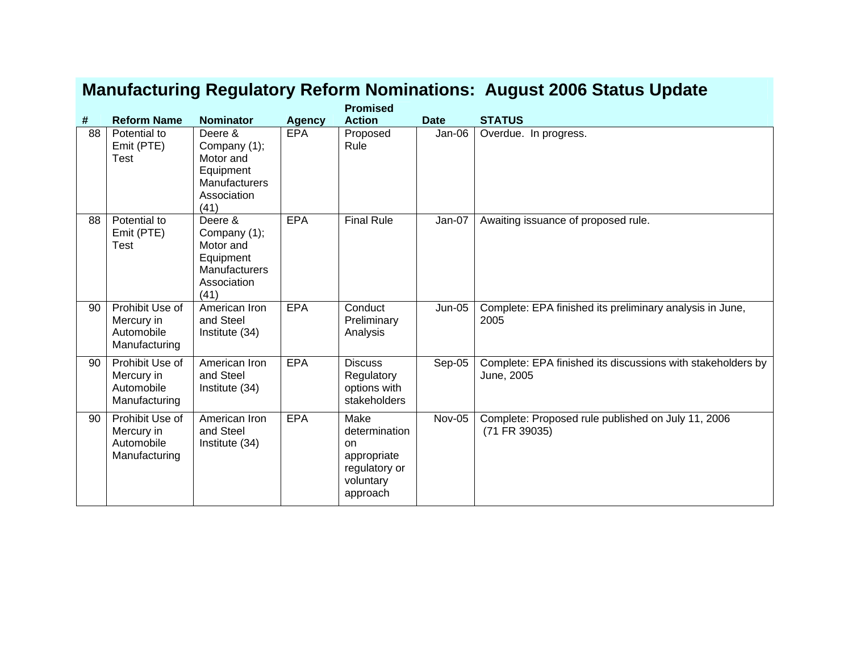| <b>Manufacturing Regulatory Reform Nominations: August 2006 Status Update</b> |  |  |
|-------------------------------------------------------------------------------|--|--|
|                                                                               |  |  |

|    |                                                              |                                                                                                                 |               | <b>Promised</b>                                                                             |               |                                                                           |
|----|--------------------------------------------------------------|-----------------------------------------------------------------------------------------------------------------|---------------|---------------------------------------------------------------------------------------------|---------------|---------------------------------------------------------------------------|
| #  | <b>Reform Name</b>                                           | <b>Nominator</b>                                                                                                | <b>Agency</b> | <b>Action</b>                                                                               | <b>Date</b>   | <b>STATUS</b>                                                             |
| 88 | Potential to<br>Emit (PTE)<br>Test                           | Deere &<br>Company (1);<br>Motor and<br>Equipment<br>Manufacturers<br>Association<br>(41)                       | EPA           | Proposed<br>Rule                                                                            | Jan-06        | Overdue. In progress.                                                     |
| 88 | Potential to<br>Emit (PTE)<br>Test                           | Deere $\overline{\mathbf{g}}$<br>Company (1);<br>Motor and<br>Equipment<br>Manufacturers<br>Association<br>(41) | <b>EPA</b>    | <b>Final Rule</b>                                                                           | Jan-07        | Awaiting issuance of proposed rule.                                       |
| 90 | Prohibit Use of<br>Mercury in<br>Automobile<br>Manufacturing | American Iron<br>and Steel<br>Institute (34)                                                                    | <b>EPA</b>    | Conduct<br>Preliminary<br>Analysis                                                          | <b>Jun-05</b> | Complete: EPA finished its preliminary analysis in June,<br>2005          |
| 90 | Prohibit Use of<br>Mercury in<br>Automobile<br>Manufacturing | American Iron<br>and Steel<br>Institute (34)                                                                    | <b>EPA</b>    | <b>Discuss</b><br>Regulatory<br>options with<br>stakeholders                                | Sep-05        | Complete: EPA finished its discussions with stakeholders by<br>June, 2005 |
| 90 | Prohibit Use of<br>Mercury in<br>Automobile<br>Manufacturing | American Iron<br>and Steel<br>Institute (34)                                                                    | <b>EPA</b>    | Make<br>determination<br><b>on</b><br>appropriate<br>regulatory or<br>voluntary<br>approach | Nov-05        | Complete: Proposed rule published on July 11, 2006<br>(71 FR 39035)       |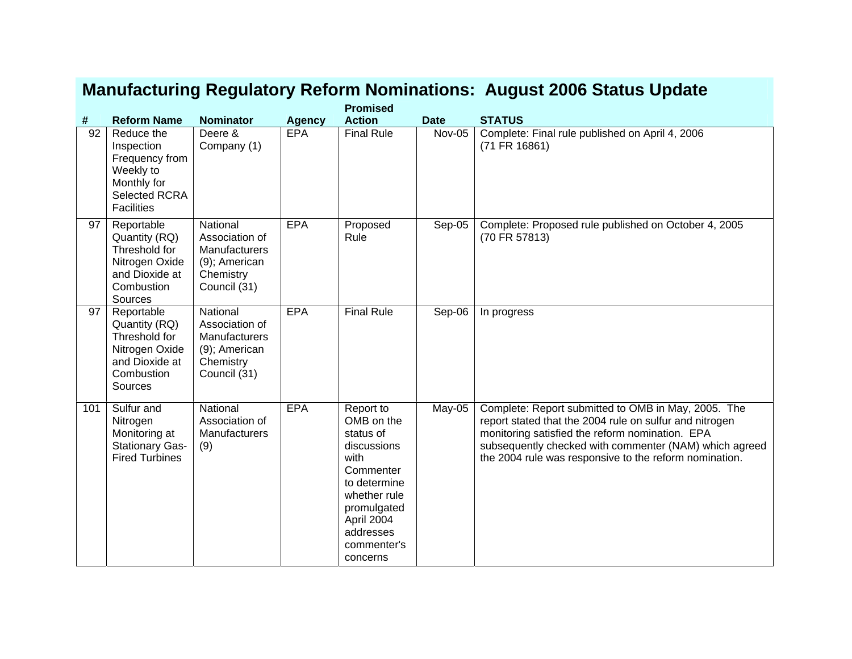|     |                                                                                                              |                                                                                                  |               | <b>Promised</b>                                                                                                                                                               |             |                                                                                                                                                                                                                                                                                       |
|-----|--------------------------------------------------------------------------------------------------------------|--------------------------------------------------------------------------------------------------|---------------|-------------------------------------------------------------------------------------------------------------------------------------------------------------------------------|-------------|---------------------------------------------------------------------------------------------------------------------------------------------------------------------------------------------------------------------------------------------------------------------------------------|
| #   | <b>Reform Name</b>                                                                                           | <b>Nominator</b>                                                                                 | <b>Agency</b> | <b>Action</b>                                                                                                                                                                 | <b>Date</b> | <b>STATUS</b>                                                                                                                                                                                                                                                                         |
| 92  | Reduce the<br>Inspection<br>Frequency from<br>Weekly to<br>Monthly for<br>Selected RCRA<br><b>Facilities</b> | Deere &<br>Company (1)                                                                           | <b>EPA</b>    | <b>Final Rule</b>                                                                                                                                                             | Nov-05      | Complete: Final rule published on April 4, 2006<br>(71 FR 16861)                                                                                                                                                                                                                      |
| 97  | Reportable<br>Quantity (RQ)<br>Threshold for<br>Nitrogen Oxide<br>and Dioxide at<br>Combustion<br>Sources    | National<br>Association of<br><b>Manufacturers</b><br>(9); American<br>Chemistry<br>Council (31) | EPA           | Proposed<br>Rule                                                                                                                                                              | Sep-05      | Complete: Proposed rule published on October 4, 2005<br>(70 FR 57813)                                                                                                                                                                                                                 |
| 97  | Reportable<br>Quantity (RQ)<br>Threshold for<br>Nitrogen Oxide<br>and Dioxide at<br>Combustion<br>Sources    | National<br>Association of<br>Manufacturers<br>(9); American<br>Chemistry<br>Council (31)        | EPA           | <b>Final Rule</b>                                                                                                                                                             | Sep-06      | In progress                                                                                                                                                                                                                                                                           |
| 101 | Sulfur and<br>Nitrogen<br>Monitoring at<br><b>Stationary Gas-</b><br><b>Fired Turbines</b>                   | National<br>Association of<br>Manufacturers<br>(9)                                               | <b>EPA</b>    | Report to<br>OMB on the<br>status of<br>discussions<br>with<br>Commenter<br>to determine<br>whether rule<br>promulgated<br>April 2004<br>addresses<br>commenter's<br>concerns | May-05      | Complete: Report submitted to OMB in May, 2005. The<br>report stated that the 2004 rule on sulfur and nitrogen<br>monitoring satisfied the reform nomination. EPA<br>subsequently checked with commenter (NAM) which agreed<br>the 2004 rule was responsive to the reform nomination. |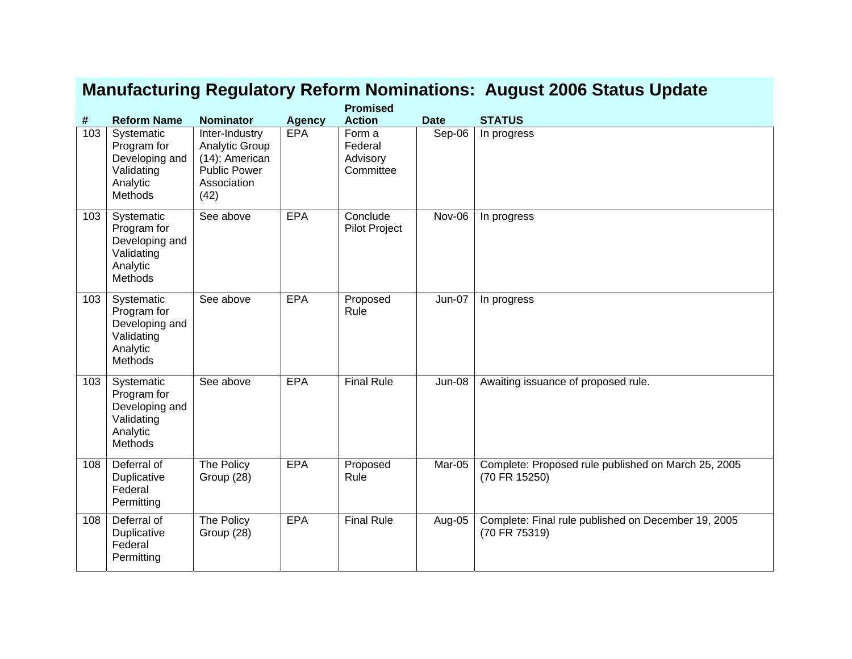|     |                                                                                  |                                                                                                  |               | <b>Promised</b>                            |               |                                                                      |
|-----|----------------------------------------------------------------------------------|--------------------------------------------------------------------------------------------------|---------------|--------------------------------------------|---------------|----------------------------------------------------------------------|
| #   | <b>Reform Name</b>                                                               | <b>Nominator</b>                                                                                 | <b>Agency</b> | <b>Action</b>                              | <b>Date</b>   | <b>STATUS</b>                                                        |
| 103 | Systematic<br>Program for<br>Developing and<br>Validating<br>Analytic<br>Methods | Inter-Industry<br>Analytic Group<br>(14); American<br><b>Public Power</b><br>Association<br>(42) | <b>EPA</b>    | Form a<br>Federal<br>Advisory<br>Committee | $Sep-06$      | In progress                                                          |
| 103 | Systematic<br>Program for<br>Developing and<br>Validating<br>Analytic<br>Methods | See above                                                                                        | <b>EPA</b>    | Conclude<br><b>Pilot Project</b>           | Nov-06        | In progress                                                          |
| 103 | Systematic<br>Program for<br>Developing and<br>Validating<br>Analytic<br>Methods | See above                                                                                        | <b>EPA</b>    | Proposed<br>Rule                           | <b>Jun-07</b> | In progress                                                          |
| 103 | Systematic<br>Program for<br>Developing and<br>Validating<br>Analytic<br>Methods | See above                                                                                        | <b>EPA</b>    | <b>Final Rule</b>                          | <b>Jun-08</b> | Awaiting issuance of proposed rule.                                  |
| 108 | Deferral of<br>Duplicative<br>Federal<br>Permitting                              | The Policy<br>Group (28)                                                                         | <b>EPA</b>    | Proposed<br>Rule                           | Mar-05        | Complete: Proposed rule published on March 25, 2005<br>(70 FR 15250) |
| 108 | Deferral of<br>Duplicative<br>Federal<br>Permitting                              | The Policy<br>Group (28)                                                                         | <b>EPA</b>    | <b>Final Rule</b>                          | Aug-05        | Complete: Final rule published on December 19, 2005<br>(70 FR 75319) |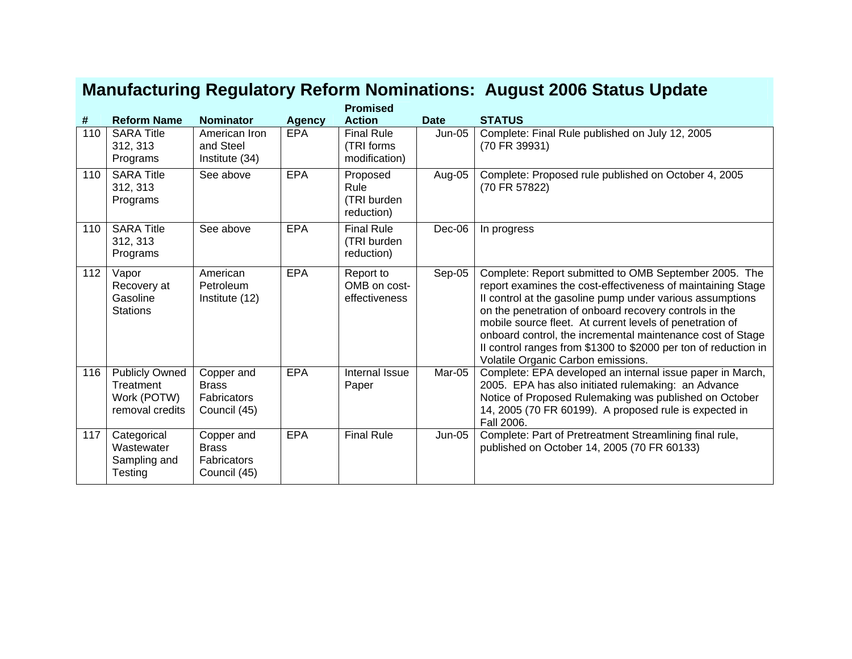| #   | <b>Reform Name</b>                                                   | <b>Nominator</b>                                                 | <b>Agency</b> | <b>Promised</b><br><b>Action</b>                 | <b>Date</b>   | <b>STATUS</b>                                                                                                                                                                                                                                                                                                                                                                                                                                                                  |
|-----|----------------------------------------------------------------------|------------------------------------------------------------------|---------------|--------------------------------------------------|---------------|--------------------------------------------------------------------------------------------------------------------------------------------------------------------------------------------------------------------------------------------------------------------------------------------------------------------------------------------------------------------------------------------------------------------------------------------------------------------------------|
| 110 | <b>SARA Title</b><br>312, 313<br>Programs                            | American Iron<br>and Steel<br>Institute (34)                     | <b>EPA</b>    | <b>Final Rule</b><br>(TRI forms<br>modification) | <b>Jun-05</b> | Complete: Final Rule published on July 12, 2005<br>(70 FR 39931)                                                                                                                                                                                                                                                                                                                                                                                                               |
| 110 | <b>SARA Title</b><br>312, 313<br>Programs                            | See above                                                        | <b>EPA</b>    | Proposed<br>Rule<br>(TRI burden<br>reduction)    | Aug-05        | Complete: Proposed rule published on October 4, 2005<br>(70 FR 57822)                                                                                                                                                                                                                                                                                                                                                                                                          |
| 110 | <b>SARA Title</b><br>312, 313<br>Programs                            | See above                                                        | <b>EPA</b>    | <b>Final Rule</b><br>(TRI burden<br>reduction)   | Dec-06        | In progress                                                                                                                                                                                                                                                                                                                                                                                                                                                                    |
| 112 | Vapor<br>Recovery at<br>Gasoline<br><b>Stations</b>                  | American<br>Petroleum<br>Institute (12)                          | <b>EPA</b>    | Report to<br>OMB on cost-<br>effectiveness       | Sep-05        | Complete: Report submitted to OMB September 2005. The<br>report examines the cost-effectiveness of maintaining Stage<br>Il control at the gasoline pump under various assumptions<br>on the penetration of onboard recovery controls in the<br>mobile source fleet. At current levels of penetration of<br>onboard control, the incremental maintenance cost of Stage<br>Il control ranges from \$1300 to \$2000 per ton of reduction in<br>Volatile Organic Carbon emissions. |
| 116 | <b>Publicly Owned</b><br>Treatment<br>Work (POTW)<br>removal credits | Copper and<br><b>Brass</b><br>Fabricators<br>Council (45)        | <b>EPA</b>    | Internal Issue<br>Paper                          | Mar-05        | Complete: EPA developed an internal issue paper in March,<br>2005. EPA has also initiated rulemaking: an Advance<br>Notice of Proposed Rulemaking was published on October<br>14, 2005 (70 FR 60199). A proposed rule is expected in<br>Fall 2006.                                                                                                                                                                                                                             |
| 117 | Categorical<br>Wastewater<br>Sampling and<br><b>Testing</b>          | Copper and<br><b>Brass</b><br><b>Fabricators</b><br>Council (45) | <b>EPA</b>    | <b>Final Rule</b>                                | <b>Jun-05</b> | Complete: Part of Pretreatment Streamlining final rule,<br>published on October 14, 2005 (70 FR 60133)                                                                                                                                                                                                                                                                                                                                                                         |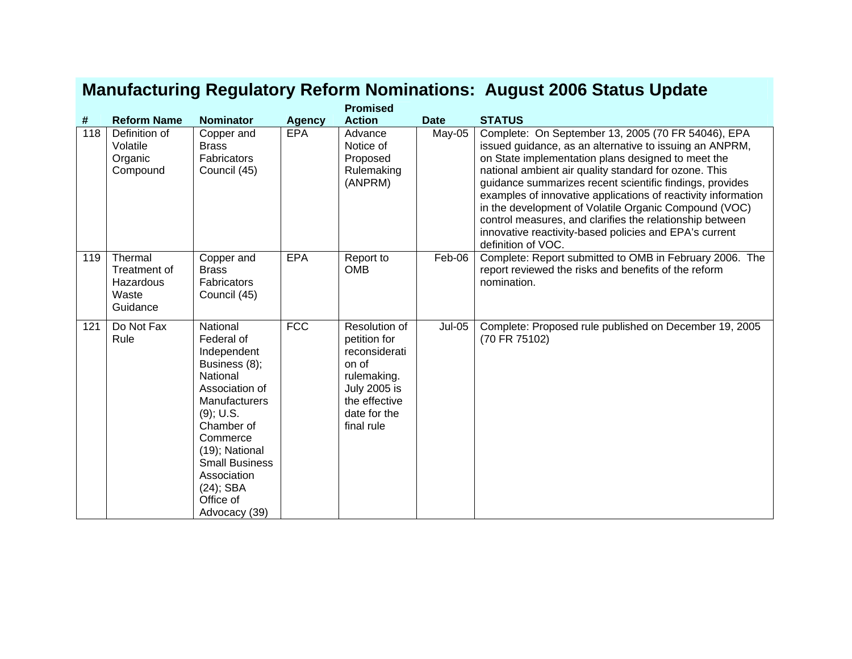|     |                                                           |                                                                                                                                                                                                                                                         |               | <b>Promised</b>                                                                                                                              |             |                                                                                                                                                                                                                                                                                                                                                                                                                                                                                                                                                                |
|-----|-----------------------------------------------------------|---------------------------------------------------------------------------------------------------------------------------------------------------------------------------------------------------------------------------------------------------------|---------------|----------------------------------------------------------------------------------------------------------------------------------------------|-------------|----------------------------------------------------------------------------------------------------------------------------------------------------------------------------------------------------------------------------------------------------------------------------------------------------------------------------------------------------------------------------------------------------------------------------------------------------------------------------------------------------------------------------------------------------------------|
| #   | <b>Reform Name</b>                                        | <b>Nominator</b>                                                                                                                                                                                                                                        | <b>Agency</b> | <b>Action</b>                                                                                                                                | <b>Date</b> | <b>STATUS</b>                                                                                                                                                                                                                                                                                                                                                                                                                                                                                                                                                  |
| 118 | Definition of<br>Volatile<br>Organic<br>Compound          | Copper and<br><b>Brass</b><br>Fabricators<br>Council (45)                                                                                                                                                                                               | <b>EPA</b>    | Advance<br>Notice of<br>Proposed<br>Rulemaking<br>(ANPRM)                                                                                    | May-05      | Complete: On September 13, 2005 (70 FR 54046), EPA<br>issued guidance, as an alternative to issuing an ANPRM,<br>on State implementation plans designed to meet the<br>national ambient air quality standard for ozone. This<br>guidance summarizes recent scientific findings, provides<br>examples of innovative applications of reactivity information<br>in the development of Volatile Organic Compound (VOC)<br>control measures, and clarifies the relationship between<br>innovative reactivity-based policies and EPA's current<br>definition of VOC. |
| 119 | Thermal<br>Treatment of<br>Hazardous<br>Waste<br>Guidance | Copper and<br><b>Brass</b><br>Fabricators<br>Council (45)                                                                                                                                                                                               | <b>EPA</b>    | Report to<br><b>OMB</b>                                                                                                                      | Feb-06      | Complete: Report submitted to OMB in February 2006. The<br>report reviewed the risks and benefits of the reform<br>nomination.                                                                                                                                                                                                                                                                                                                                                                                                                                 |
| 121 | Do Not Fax<br>Rule                                        | National<br>Federal of<br>Independent<br>Business (8);<br>National<br>Association of<br>Manufacturers<br>$(9)$ ; U.S.<br>Chamber of<br>Commerce<br>(19); National<br><b>Small Business</b><br>Association<br>$(24)$ ; SBA<br>Office of<br>Advocacy (39) | FCC           | Resolution of<br>petition for<br>reconsiderati<br>on of<br>rulemaking.<br><b>July 2005 is</b><br>the effective<br>date for the<br>final rule | $Jul-05$    | Complete: Proposed rule published on December 19, 2005<br>(70 FR 75102)                                                                                                                                                                                                                                                                                                                                                                                                                                                                                        |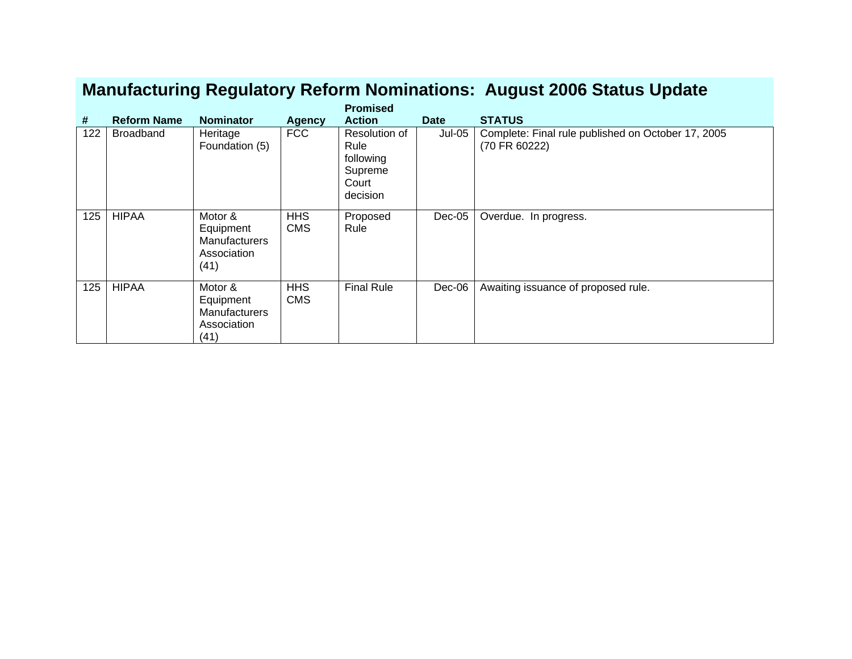|     |                    |                                                                     |                          | <b>Promised</b>                                                    |             |                                                                     |
|-----|--------------------|---------------------------------------------------------------------|--------------------------|--------------------------------------------------------------------|-------------|---------------------------------------------------------------------|
| #   | <b>Reform Name</b> | <b>Nominator</b>                                                    | <b>Agency</b>            | <b>Action</b>                                                      | <b>Date</b> | <b>STATUS</b>                                                       |
| 122 | <b>Broadband</b>   | Heritage<br>Foundation (5)                                          | <b>FCC</b>               | Resolution of<br>Rule<br>following<br>Supreme<br>Court<br>decision | $Jul-05$    | Complete: Final rule published on October 17, 2005<br>(70 FR 60222) |
| 125 | <b>HIPAA</b>       | Motor &<br>Equipment<br>Manufacturers<br>Association<br>(41)        | <b>HHS</b><br><b>CMS</b> | Proposed<br>Rule                                                   | $Dec-05$    | Overdue. In progress.                                               |
| 125 | <b>HIPAA</b>       | Motor &<br>Equipment<br><b>Manufacturers</b><br>Association<br>(41) | <b>HHS</b><br><b>CMS</b> | <b>Final Rule</b>                                                  | Dec-06      | Awaiting issuance of proposed rule.                                 |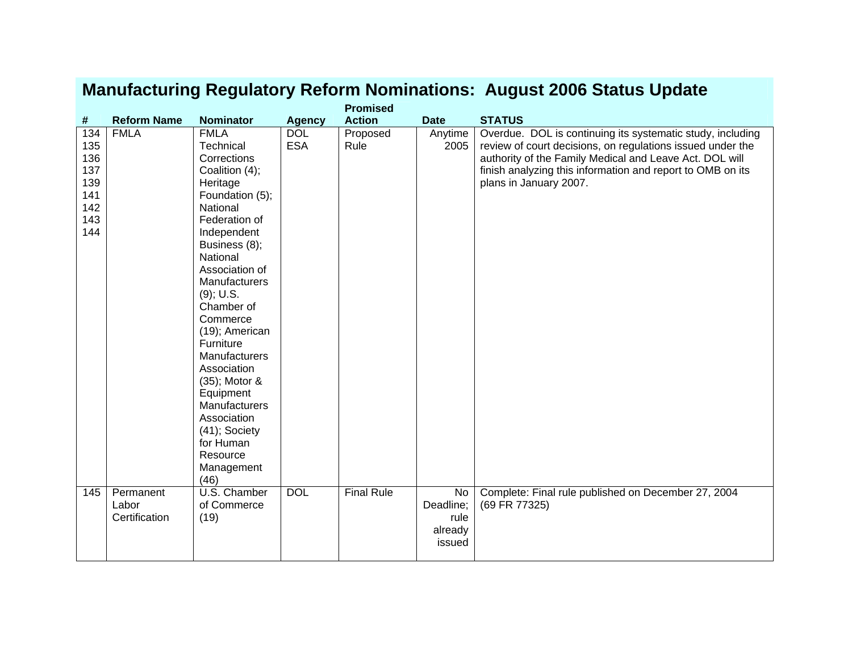|                                                             |                                     |                                                                                                                                                                                                                                                                                                                                                                                                                                                              |                          | <b>Promised</b>   |                                              |                                                                                                                                                                                                                                                                             |
|-------------------------------------------------------------|-------------------------------------|--------------------------------------------------------------------------------------------------------------------------------------------------------------------------------------------------------------------------------------------------------------------------------------------------------------------------------------------------------------------------------------------------------------------------------------------------------------|--------------------------|-------------------|----------------------------------------------|-----------------------------------------------------------------------------------------------------------------------------------------------------------------------------------------------------------------------------------------------------------------------------|
| #                                                           | <b>Reform Name</b>                  | <b>Nominator</b>                                                                                                                                                                                                                                                                                                                                                                                                                                             | <b>Agency</b>            | <b>Action</b>     | <b>Date</b>                                  | <b>STATUS</b>                                                                                                                                                                                                                                                               |
| 134<br>135<br>136<br>137<br>139<br>141<br>142<br>143<br>144 | <b>FMLA</b>                         | <b>FMLA</b><br>Technical<br>Corrections<br>Coalition (4);<br>Heritage<br>Foundation (5);<br>National<br>Federation of<br>Independent<br>Business (8);<br>National<br>Association of<br>Manufacturers<br>$(9)$ ; U.S.<br>Chamber of<br>Commerce<br>(19); American<br>Furniture<br><b>Manufacturers</b><br>Association<br>(35); Motor &<br>Equipment<br><b>Manufacturers</b><br>Association<br>$(41)$ ; Society<br>for Human<br>Resource<br>Management<br>(46) | <b>DOL</b><br><b>ESA</b> | Proposed<br>Rule  | Anytime<br>2005                              | Overdue. DOL is continuing its systematic study, including<br>review of court decisions, on regulations issued under the<br>authority of the Family Medical and Leave Act. DOL will<br>finish analyzing this information and report to OMB on its<br>plans in January 2007. |
| 145                                                         | Permanent<br>Labor<br>Certification | U.S. Chamber<br>of Commerce<br>(19)                                                                                                                                                                                                                                                                                                                                                                                                                          | <b>DOL</b>               | <b>Final Rule</b> | No<br>Deadline;<br>rule<br>already<br>issued | Complete: Final rule published on December 27, 2004<br>(69 FR 77325)                                                                                                                                                                                                        |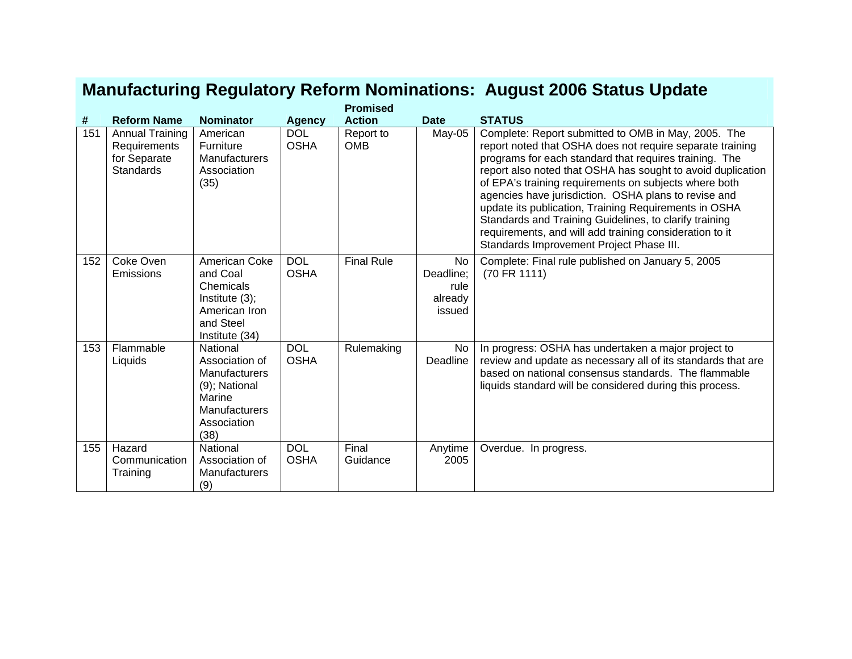|     |                                                                            |                                                                                                                       |                           | <b>Promised</b>         |                                              |                                                                                                                                                                                                                                                                                                                                                                                                                                                                                                                                                                                      |
|-----|----------------------------------------------------------------------------|-----------------------------------------------------------------------------------------------------------------------|---------------------------|-------------------------|----------------------------------------------|--------------------------------------------------------------------------------------------------------------------------------------------------------------------------------------------------------------------------------------------------------------------------------------------------------------------------------------------------------------------------------------------------------------------------------------------------------------------------------------------------------------------------------------------------------------------------------------|
| #   | <b>Reform Name</b>                                                         | <b>Nominator</b>                                                                                                      | <b>Agency</b>             | <b>Action</b>           | <b>Date</b>                                  | <b>STATUS</b>                                                                                                                                                                                                                                                                                                                                                                                                                                                                                                                                                                        |
| 151 | <b>Annual Training</b><br>Requirements<br>for Separate<br><b>Standards</b> | American<br>Furniture<br>Manufacturers<br>Association<br>(35)                                                         | <b>DOL</b><br><b>OSHA</b> | Report to<br><b>OMB</b> | May-05                                       | Complete: Report submitted to OMB in May, 2005. The<br>report noted that OSHA does not require separate training<br>programs for each standard that requires training. The<br>report also noted that OSHA has sought to avoid duplication<br>of EPA's training requirements on subjects where both<br>agencies have jurisdiction. OSHA plans to revise and<br>update its publication, Training Requirements in OSHA<br>Standards and Training Guidelines, to clarify training<br>requirements, and will add training consideration to it<br>Standards Improvement Project Phase III. |
| 152 | Coke Oven<br>Emissions                                                     | American Coke<br>and Coal<br>Chemicals<br>Institute $(3)$ ;<br>American Iron<br>and Steel<br>Institute (34)           | <b>DOL</b><br><b>OSHA</b> | <b>Final Rule</b>       | No<br>Deadline;<br>rule<br>already<br>issued | Complete: Final rule published on January 5, 2005<br>(70 FR 1111)                                                                                                                                                                                                                                                                                                                                                                                                                                                                                                                    |
| 153 | Flammable<br>Liquids                                                       | National<br>Association of<br>Manufacturers<br>(9); National<br>Marine<br><b>Manufacturers</b><br>Association<br>(38) | <b>DOL</b><br><b>OSHA</b> | Rulemaking              | <b>No</b><br>Deadline                        | In progress: OSHA has undertaken a major project to<br>review and update as necessary all of its standards that are<br>based on national consensus standards. The flammable<br>liquids standard will be considered during this process.                                                                                                                                                                                                                                                                                                                                              |
| 155 | Hazard<br>Communication<br>Training                                        | National<br>Association of<br>Manufacturers<br>(9)                                                                    | <b>DOL</b><br><b>OSHA</b> | Final<br>Guidance       | Anytime<br>2005                              | Overdue. In progress.                                                                                                                                                                                                                                                                                                                                                                                                                                                                                                                                                                |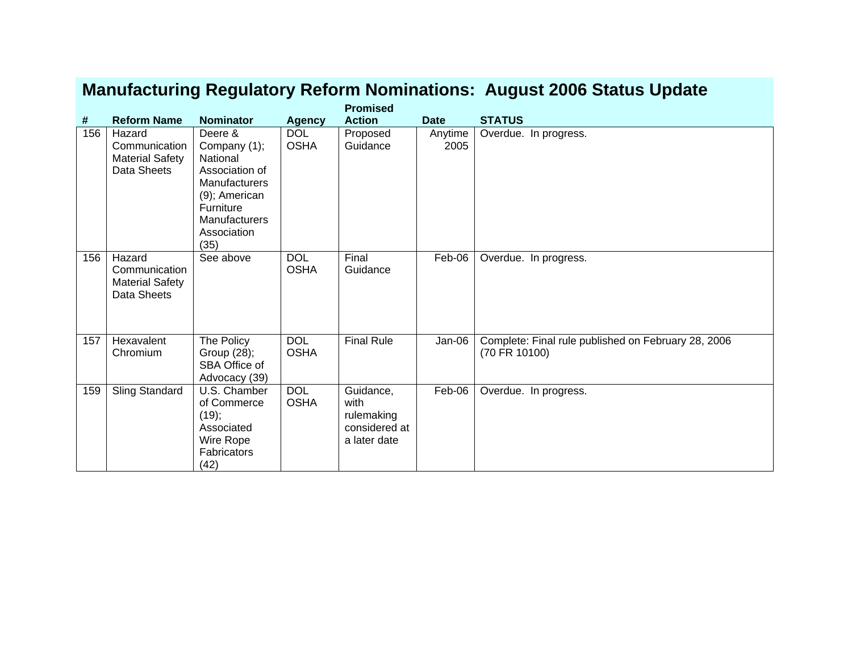| <b>Manufacturing Regulatory Reform Nominations: August 2006 Status Update</b> |
|-------------------------------------------------------------------------------|
|-------------------------------------------------------------------------------|

|     |                                                                  |                                                                                                                                                     |                           | <b>Promised</b>                                                  |                 |                                                                      |
|-----|------------------------------------------------------------------|-----------------------------------------------------------------------------------------------------------------------------------------------------|---------------------------|------------------------------------------------------------------|-----------------|----------------------------------------------------------------------|
| #   | <b>Reform Name</b>                                               | <b>Nominator</b>                                                                                                                                    | <b>Agency</b>             | <b>Action</b>                                                    | <b>Date</b>     | <b>STATUS</b>                                                        |
| 156 | Hazard<br>Communication<br><b>Material Safety</b><br>Data Sheets | Deere &<br>Company (1);<br>National<br>Association of<br><b>Manufacturers</b><br>(9); American<br>Furniture<br>Manufacturers<br>Association<br>(35) | <b>DOL</b><br><b>OSHA</b> | Proposed<br>Guidance                                             | Anytime<br>2005 | Overdue. In progress.                                                |
| 156 | Hazard<br>Communication<br><b>Material Safety</b><br>Data Sheets | See above                                                                                                                                           | <b>DOL</b><br><b>OSHA</b> | Final<br>Guidance                                                | Feb-06          | Overdue. In progress.                                                |
| 157 | Hexavalent<br>Chromium                                           | The Policy<br>Group (28);<br>SBA Office of<br>Advocacy (39)                                                                                         | <b>DOL</b><br><b>OSHA</b> | <b>Final Rule</b>                                                | Jan-06          | Complete: Final rule published on February 28, 2006<br>(70 FR 10100) |
| 159 | Sling Standard                                                   | U.S. Chamber<br>of Commerce<br>(19);<br>Associated<br>Wire Rope<br>Fabricators<br>(42)                                                              | <b>DOL</b><br><b>OSHA</b> | Guidance,<br>with<br>rulemaking<br>considered at<br>a later date | Feb-06          | Overdue. In progress.                                                |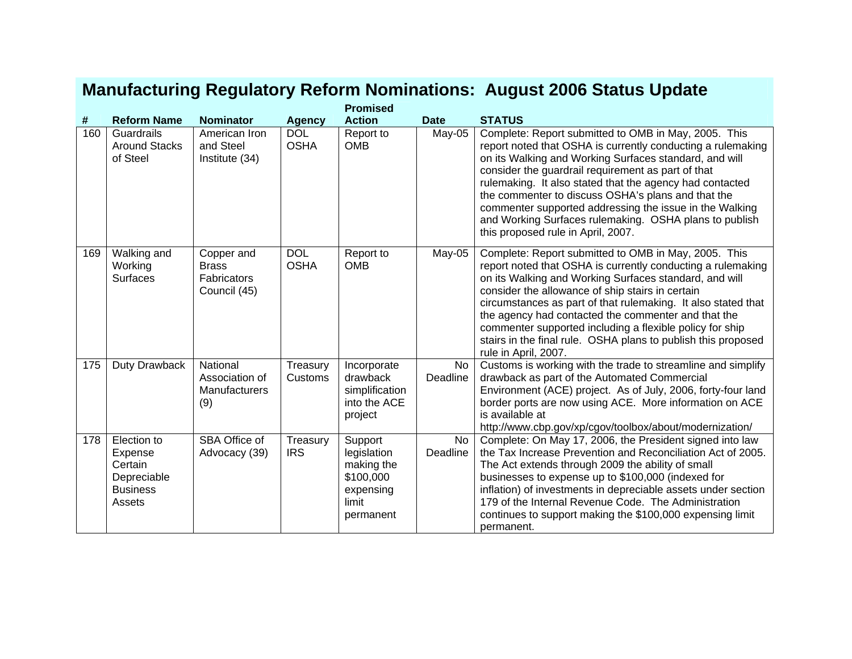|     |                                                                               |                                                           |                           | <b>Promised</b>                                                                      |                       |                                                                                                                                                                                                                                                                                                                                                                                                                                                                                                                  |
|-----|-------------------------------------------------------------------------------|-----------------------------------------------------------|---------------------------|--------------------------------------------------------------------------------------|-----------------------|------------------------------------------------------------------------------------------------------------------------------------------------------------------------------------------------------------------------------------------------------------------------------------------------------------------------------------------------------------------------------------------------------------------------------------------------------------------------------------------------------------------|
| #   | <b>Reform Name</b>                                                            | <b>Nominator</b>                                          | <b>Agency</b>             | <b>Action</b>                                                                        | <b>Date</b>           | <b>STATUS</b>                                                                                                                                                                                                                                                                                                                                                                                                                                                                                                    |
| 160 | Guardrails<br><b>Around Stacks</b><br>of Steel                                | American Iron<br>and Steel<br>Institute (34)              | <b>DOL</b><br><b>OSHA</b> | Report to<br><b>OMB</b>                                                              | May-05                | Complete: Report submitted to OMB in May, 2005. This<br>report noted that OSHA is currently conducting a rulemaking<br>on its Walking and Working Surfaces standard, and will<br>consider the guardrail requirement as part of that<br>rulemaking. It also stated that the agency had contacted<br>the commenter to discuss OSHA's plans and that the<br>commenter supported addressing the issue in the Walking<br>and Working Surfaces rulemaking. OSHA plans to publish<br>this proposed rule in April, 2007. |
| 169 | Walking and<br>Working<br><b>Surfaces</b>                                     | Copper and<br><b>Brass</b><br>Fabricators<br>Council (45) | <b>DOL</b><br><b>OSHA</b> | Report to<br><b>OMB</b>                                                              | May-05                | Complete: Report submitted to OMB in May, 2005. This<br>report noted that OSHA is currently conducting a rulemaking<br>on its Walking and Working Surfaces standard, and will<br>consider the allowance of ship stairs in certain<br>circumstances as part of that rulemaking. It also stated that<br>the agency had contacted the commenter and that the<br>commenter supported including a flexible policy for ship<br>stairs in the final rule. OSHA plans to publish this proposed<br>rule in April, 2007.   |
| 175 | Duty Drawback                                                                 | National<br>Association of<br><b>Manufacturers</b><br>(9) | Treasury<br>Customs       | Incorporate<br>drawback<br>simplification<br>into the ACE<br>project                 | <b>No</b><br>Deadline | Customs is working with the trade to streamline and simplify<br>drawback as part of the Automated Commercial<br>Environment (ACE) project. As of July, 2006, forty-four land<br>border ports are now using ACE. More information on ACE<br>is available at<br>http://www.cbp.gov/xp/cgov/toolbox/about/modernization/                                                                                                                                                                                            |
| 178 | Election to<br>Expense<br>Certain<br>Depreciable<br><b>Business</b><br>Assets | <b>SBA Office of</b><br>Advocacy (39)                     | Treasury<br><b>IRS</b>    | Support<br>legislation<br>making the<br>\$100,000<br>expensing<br>limit<br>permanent | <b>No</b><br>Deadline | Complete: On May 17, 2006, the President signed into law<br>the Tax Increase Prevention and Reconciliation Act of 2005.<br>The Act extends through 2009 the ability of small<br>businesses to expense up to \$100,000 (indexed for<br>inflation) of investments in depreciable assets under section<br>179 of the Internal Revenue Code. The Administration<br>continues to support making the \$100,000 expensing limit<br>permanent.                                                                           |